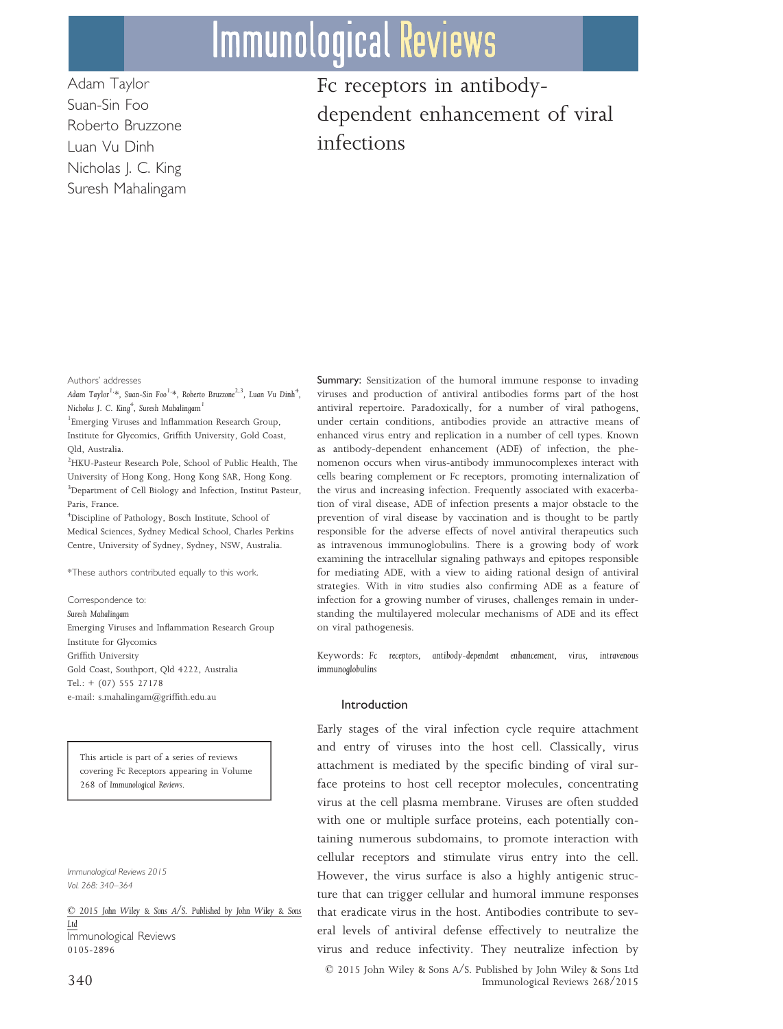# **Immunological Reviews**

Adam Taylor Suan-Sin Foo Roberto Bruzzone Luan Vu Dinh Nicholas J. C. King Suresh Mahalingam Fc receptors in antibodydependent enhancement of viral infections

Authors' addresses

*Adam Taylor1,\*, Suan-Sin Foo1,\*, Roberto Bruzzone2,3, Luan Vu Dinh<sup>4</sup> , Nicholas J. C. King<sup>4</sup> , Suresh Mahalingam<sup>1</sup>*

1 Emerging Viruses and Inflammation Research Group, Institute for Glycomics, Griffith University, Gold Coast, Qld, Australia.

<sup>2</sup>HKU-Pasteur Research Pole, School of Public Health, The University of Hong Kong, Hong Kong SAR, Hong Kong. <sup>3</sup>Department of Cell Biology and Infection, Institut Pasteur, Paris, France.

<sup>4</sup>Discipline of Pathology, Bosch Institute, School of Medical Sciences, Sydney Medical School, Charles Perkins Centre, University of Sydney, Sydney, NSW, Australia.

\*These authors contributed equally to this work.

Correspondence to: *Suresh Mahalingam* Emerging Viruses and Inflammation Research Group Institute for Glycomics Griffith University Gold Coast, Southport, Qld 4222, Australia Tel.: + (07) 555 27178 e-mail: s.mahalingam@griffith.edu.au

This article is part of a series of reviews covering Fc Receptors appearing in Volume 268 of *Immunological Reviews*.

*Immunological Reviews 2015 Vol. 268: 340–364*

© *2015 John Wiley & Sons A/S. Published by John Wiley & Sons Ltd* Immunological Reviews 0105-2896

Summary: Sensitization of the humoral immune response to invading viruses and production of antiviral antibodies forms part of the host antiviral repertoire. Paradoxically, for a number of viral pathogens, under certain conditions, antibodies provide an attractive means of enhanced virus entry and replication in a number of cell types. Known as antibody-dependent enhancement (ADE) of infection, the phenomenon occurs when virus-antibody immunocomplexes interact with cells bearing complement or Fc receptors, promoting internalization of the virus and increasing infection. Frequently associated with exacerbation of viral disease, ADE of infection presents a major obstacle to the prevention of viral disease by vaccination and is thought to be partly responsible for the adverse effects of novel antiviral therapeutics such as intravenous immunoglobulins. There is a growing body of work examining the intracellular signaling pathways and epitopes responsible for mediating ADE, with a view to aiding rational design of antiviral strategies. With *in vitro* studies also confirming ADE as a feature of infection for a growing number of viruses, challenges remain in understanding the multilayered molecular mechanisms of ADE and its effect on viral pathogenesis.

Keywords: *Fc receptors, antibody-dependent enhancement, virus, intravenous immunoglobulins*

## Introduction

Early stages of the viral infection cycle require attachment and entry of viruses into the host cell. Classically, virus attachment is mediated by the specific binding of viral surface proteins to host cell receptor molecules, concentrating virus at the cell plasma membrane. Viruses are often studded with one or multiple surface proteins, each potentially containing numerous subdomains, to promote interaction with cellular receptors and stimulate virus entry into the cell. However, the virus surface is also a highly antigenic structure that can trigger cellular and humoral immune responses that eradicate virus in the host. Antibodies contribute to several levels of antiviral defense effectively to neutralize the virus and reduce infectivity. They neutralize infection by © 2015 John Wiley & Sons A/S. Published by John Wiley & Sons Ltd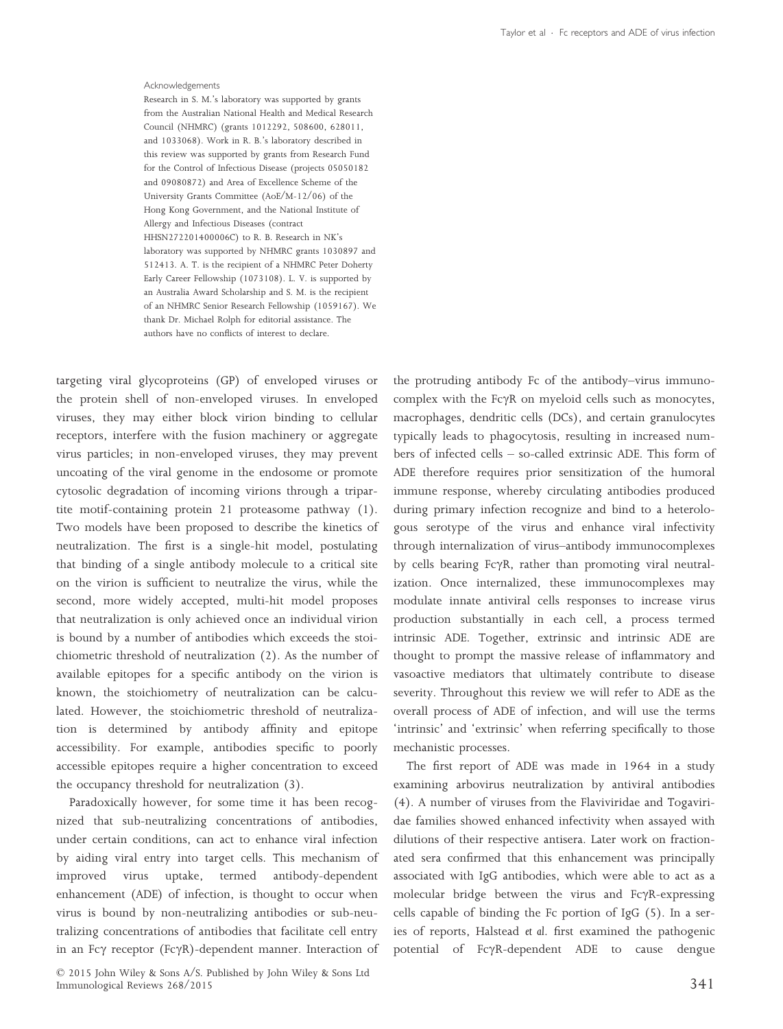#### Acknowledgements

Research in S. M.'s laboratory was supported by grants from the Australian National Health and Medical Research Council (NHMRC) (grants 1012292, 508600, 628011, and 1033068). Work in R. B.'s laboratory described in this review was supported by grants from Research Fund for the Control of Infectious Disease (projects 05050182 and 09080872) and Area of Excellence Scheme of the University Grants Committee (AoE/M-12/06) of the Hong Kong Government, and the National Institute of Allergy and Infectious Diseases (contract HHSN272201400006C) to R. B. Research in NK's laboratory was supported by NHMRC grants 1030897 and 512413. A. T. is the recipient of a NHMRC Peter Doherty Early Career Fellowship (1073108). L. V. is supported by an Australia Award Scholarship and S. M. is the recipient of an NHMRC Senior Research Fellowship (1059167). We thank Dr. Michael Rolph for editorial assistance. The authors have no conflicts of interest to declare.

targeting viral glycoproteins (GP) of enveloped viruses or the protein shell of non-enveloped viruses. In enveloped viruses, they may either block virion binding to cellular receptors, interfere with the fusion machinery or aggregate virus particles; in non-enveloped viruses, they may prevent uncoating of the viral genome in the endosome or promote cytosolic degradation of incoming virions through a tripartite motif-containing protein 21 proteasome pathway (1). Two models have been proposed to describe the kinetics of neutralization. The first is a single-hit model, postulating that binding of a single antibody molecule to a critical site on the virion is sufficient to neutralize the virus, while the second, more widely accepted, multi-hit model proposes that neutralization is only achieved once an individual virion is bound by a number of antibodies which exceeds the stoichiometric threshold of neutralization (2). As the number of available epitopes for a specific antibody on the virion is known, the stoichiometry of neutralization can be calculated. However, the stoichiometric threshold of neutralization is determined by antibody affinity and epitope accessibility. For example, antibodies specific to poorly accessible epitopes require a higher concentration to exceed the occupancy threshold for neutralization (3).

Paradoxically however, for some time it has been recognized that sub-neutralizing concentrations of antibodies, under certain conditions, can act to enhance viral infection by aiding viral entry into target cells. This mechanism of improved virus uptake, termed antibody-dependent enhancement (ADE) of infection, is thought to occur when virus is bound by non-neutralizing antibodies or sub-neutralizing concentrations of antibodies that facilitate cell entry in an Fc $\gamma$  receptor (Fc $\gamma$ R)-dependent manner. Interaction of

© 2015 John Wiley & Sons A/S. Published by John Wiley & Sons Ltd Immunological Reviews 268/2015 341

the protruding antibody Fc of the antibody–virus immunocomplex with the Fc $\gamma$ R on myeloid cells such as monocytes, macrophages, dendritic cells (DCs), and certain granulocytes typically leads to phagocytosis, resulting in increased numbers of infected cells – so-called extrinsic ADE. This form of ADE therefore requires prior sensitization of the humoral immune response, whereby circulating antibodies produced during primary infection recognize and bind to a heterologous serotype of the virus and enhance viral infectivity through internalization of virus–antibody immunocomplexes by cells bearing Fc $\gamma$ R, rather than promoting viral neutralization. Once internalized, these immunocomplexes may modulate innate antiviral cells responses to increase virus production substantially in each cell, a process termed intrinsic ADE. Together, extrinsic and intrinsic ADE are thought to prompt the massive release of inflammatory and vasoactive mediators that ultimately contribute to disease severity. Throughout this review we will refer to ADE as the overall process of ADE of infection, and will use the terms 'intrinsic' and 'extrinsic' when referring specifically to those mechanistic processes.

The first report of ADE was made in 1964 in a study examining arbovirus neutralization by antiviral antibodies (4). A number of viruses from the Flaviviridae and Togaviridae families showed enhanced infectivity when assayed with dilutions of their respective antisera. Later work on fractionated sera confirmed that this enhancement was principally associated with IgG antibodies, which were able to act as a molecular bridge between the virus and FcyR-expressing cells capable of binding the Fc portion of IgG (5). In a series of reports, Halstead *et al*. first examined the pathogenic potential of FcyR-dependent ADE to cause dengue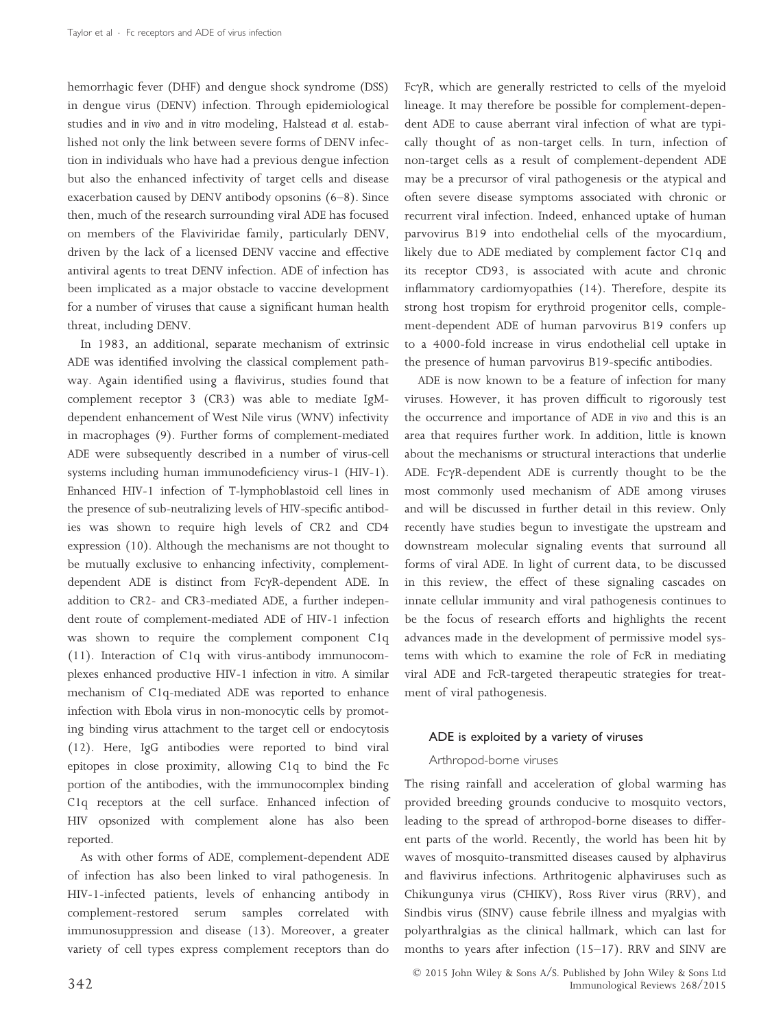hemorrhagic fever (DHF) and dengue shock syndrome (DSS) in dengue virus (DENV) infection. Through epidemiological studies and *in vivo* and *in vitro* modeling, Halstead *et al*. established not only the link between severe forms of DENV infection in individuals who have had a previous dengue infection but also the enhanced infectivity of target cells and disease exacerbation caused by DENV antibody opsonins (6–8). Since then, much of the research surrounding viral ADE has focused on members of the Flaviviridae family, particularly DENV, driven by the lack of a licensed DENV vaccine and effective antiviral agents to treat DENV infection. ADE of infection has been implicated as a major obstacle to vaccine development for a number of viruses that cause a significant human health threat, including DENV.

In 1983, an additional, separate mechanism of extrinsic ADE was identified involving the classical complement pathway. Again identified using a flavivirus, studies found that complement receptor 3 (CR3) was able to mediate IgMdependent enhancement of West Nile virus (WNV) infectivity in macrophages (9). Further forms of complement-mediated ADE were subsequently described in a number of virus-cell systems including human immunodeficiency virus-1 (HIV-1). Enhanced HIV-1 infection of T-lymphoblastoid cell lines in the presence of sub-neutralizing levels of HIV-specific antibodies was shown to require high levels of CR2 and CD4 expression (10). Although the mechanisms are not thought to be mutually exclusive to enhancing infectivity, complementdependent ADE is distinct from FcyR-dependent ADE. In addition to CR2- and CR3-mediated ADE, a further independent route of complement-mediated ADE of HIV-1 infection was shown to require the complement component C1q (11). Interaction of C1q with virus-antibody immunocomplexes enhanced productive HIV-1 infection *in vitro*. A similar mechanism of C1q-mediated ADE was reported to enhance infection with Ebola virus in non-monocytic cells by promoting binding virus attachment to the target cell or endocytosis (12). Here, IgG antibodies were reported to bind viral epitopes in close proximity, allowing C1q to bind the Fc portion of the antibodies, with the immunocomplex binding C1q receptors at the cell surface. Enhanced infection of HIV opsonized with complement alone has also been reported.

As with other forms of ADE, complement-dependent ADE of infection has also been linked to viral pathogenesis. In HIV-1-infected patients, levels of enhancing antibody in complement-restored serum samples correlated with immunosuppression and disease (13). Moreover, a greater variety of cell types express complement receptors than do

 $Fc\gamma R$ , which are generally restricted to cells of the myeloid lineage. It may therefore be possible for complement-dependent ADE to cause aberrant viral infection of what are typically thought of as non-target cells. In turn, infection of non-target cells as a result of complement-dependent ADE may be a precursor of viral pathogenesis or the atypical and often severe disease symptoms associated with chronic or recurrent viral infection. Indeed, enhanced uptake of human parvovirus B19 into endothelial cells of the myocardium, likely due to ADE mediated by complement factor C1q and its receptor CD93, is associated with acute and chronic inflammatory cardiomyopathies (14). Therefore, despite its strong host tropism for erythroid progenitor cells, complement-dependent ADE of human parvovirus B19 confers up to a 4000-fold increase in virus endothelial cell uptake in the presence of human parvovirus B19-specific antibodies.

ADE is now known to be a feature of infection for many viruses. However, it has proven difficult to rigorously test the occurrence and importance of ADE *in vivo* and this is an area that requires further work. In addition, little is known about the mechanisms or structural interactions that underlie ADE. Fc $\gamma$ R-dependent ADE is currently thought to be the most commonly used mechanism of ADE among viruses and will be discussed in further detail in this review. Only recently have studies begun to investigate the upstream and downstream molecular signaling events that surround all forms of viral ADE. In light of current data, to be discussed in this review, the effect of these signaling cascades on innate cellular immunity and viral pathogenesis continues to be the focus of research efforts and highlights the recent advances made in the development of permissive model systems with which to examine the role of FcR in mediating viral ADE and FcR-targeted therapeutic strategies for treatment of viral pathogenesis.

# ADE is exploited by a variety of viruses

### Arthropod-borne viruses

The rising rainfall and acceleration of global warming has provided breeding grounds conducive to mosquito vectors, leading to the spread of arthropod-borne diseases to different parts of the world. Recently, the world has been hit by waves of mosquito-transmitted diseases caused by alphavirus and flavivirus infections. Arthritogenic alphaviruses such as Chikungunya virus (CHIKV), Ross River virus (RRV), and Sindbis virus (SINV) cause febrile illness and myalgias with polyarthralgias as the clinical hallmark, which can last for months to years after infection (15–17). RRV and SINV are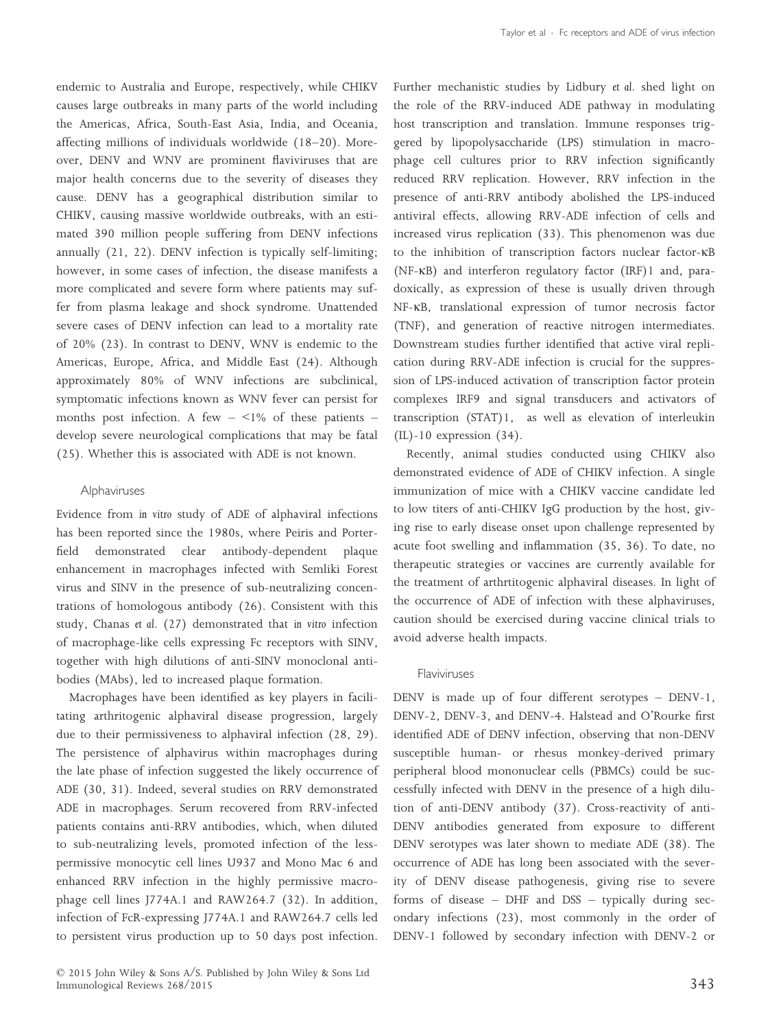endemic to Australia and Europe, respectively, while CHIKV causes large outbreaks in many parts of the world including the Americas, Africa, South-East Asia, India, and Oceania, affecting millions of individuals worldwide (18–20). Moreover, DENV and WNV are prominent flaviviruses that are major health concerns due to the severity of diseases they cause. DENV has a geographical distribution similar to CHIKV, causing massive worldwide outbreaks, with an estimated 390 million people suffering from DENV infections annually (21, 22). DENV infection is typically self-limiting; however, in some cases of infection, the disease manifests a more complicated and severe form where patients may suffer from plasma leakage and shock syndrome. Unattended severe cases of DENV infection can lead to a mortality rate of 20% (23). In contrast to DENV, WNV is endemic to the Americas, Europe, Africa, and Middle East (24). Although approximately 80% of WNV infections are subclinical, symptomatic infections known as WNV fever can persist for months post infection. A few  $\leq$ 1% of these patients  $$ develop severe neurological complications that may be fatal (25). Whether this is associated with ADE is not known.

# Alphaviruses

Evidence from *in vitro* study of ADE of alphaviral infections has been reported since the 1980s, where Peiris and Porterfield demonstrated clear antibody-dependent plaque enhancement in macrophages infected with Semliki Forest virus and SINV in the presence of sub-neutralizing concentrations of homologous antibody (26). Consistent with this study, Chanas *et al*. (27) demonstrated that *in vitro* infection of macrophage-like cells expressing Fc receptors with SINV, together with high dilutions of anti-SINV monoclonal antibodies (MAbs), led to increased plaque formation.

Macrophages have been identified as key players in facilitating arthritogenic alphaviral disease progression, largely due to their permissiveness to alphaviral infection (28, 29). The persistence of alphavirus within macrophages during the late phase of infection suggested the likely occurrence of ADE (30, 31). Indeed, several studies on RRV demonstrated ADE in macrophages. Serum recovered from RRV-infected patients contains anti-RRV antibodies, which, when diluted to sub-neutralizing levels, promoted infection of the lesspermissive monocytic cell lines U937 and Mono Mac 6 and enhanced RRV infection in the highly permissive macrophage cell lines J774A.1 and RAW264.7 (32). In addition, infection of FcR-expressing J774A.1 and RAW264.7 cells led to persistent virus production up to 50 days post infection. Further mechanistic studies by Lidbury *et al*. shed light on the role of the RRV-induced ADE pathway in modulating host transcription and translation. Immune responses triggered by lipopolysaccharide (LPS) stimulation in macrophage cell cultures prior to RRV infection significantly reduced RRV replication. However, RRV infection in the presence of anti-RRV antibody abolished the LPS-induced antiviral effects, allowing RRV-ADE infection of cells and increased virus replication (33). This phenomenon was due to the inhibition of transcription factors nuclear factor-KB (NF-KB) and interferon regulatory factor (IRF)1 and, paradoxically, as expression of these is usually driven through NF-KB, translational expression of tumor necrosis factor (TNF), and generation of reactive nitrogen intermediates. Downstream studies further identified that active viral replication during RRV-ADE infection is crucial for the suppression of LPS-induced activation of transcription factor protein complexes IRF9 and signal transducers and activators of transcription (STAT)1, as well as elevation of interleukin (IL)-10 expression (34).

Recently, animal studies conducted using CHIKV also demonstrated evidence of ADE of CHIKV infection. A single immunization of mice with a CHIKV vaccine candidate led to low titers of anti-CHIKV IgG production by the host, giving rise to early disease onset upon challenge represented by acute foot swelling and inflammation (35, 36). To date, no therapeutic strategies or vaccines are currently available for the treatment of arthrtitogenic alphaviral diseases. In light of the occurrence of ADE of infection with these alphaviruses, caution should be exercised during vaccine clinical trials to avoid adverse health impacts.

# Flaviviruses

DENV is made up of four different serotypes – DENV-1, DENV-2, DENV-3, and DENV-4. Halstead and O'Rourke first identified ADE of DENV infection, observing that non-DENV susceptible human- or rhesus monkey-derived primary peripheral blood mononuclear cells (PBMCs) could be successfully infected with DENV in the presence of a high dilution of anti-DENV antibody (37). Cross-reactivity of anti-DENV antibodies generated from exposure to different DENV serotypes was later shown to mediate ADE (38). The occurrence of ADE has long been associated with the severity of DENV disease pathogenesis, giving rise to severe forms of disease – DHF and DSS – typically during secondary infections (23), most commonly in the order of DENV-1 followed by secondary infection with DENV-2 or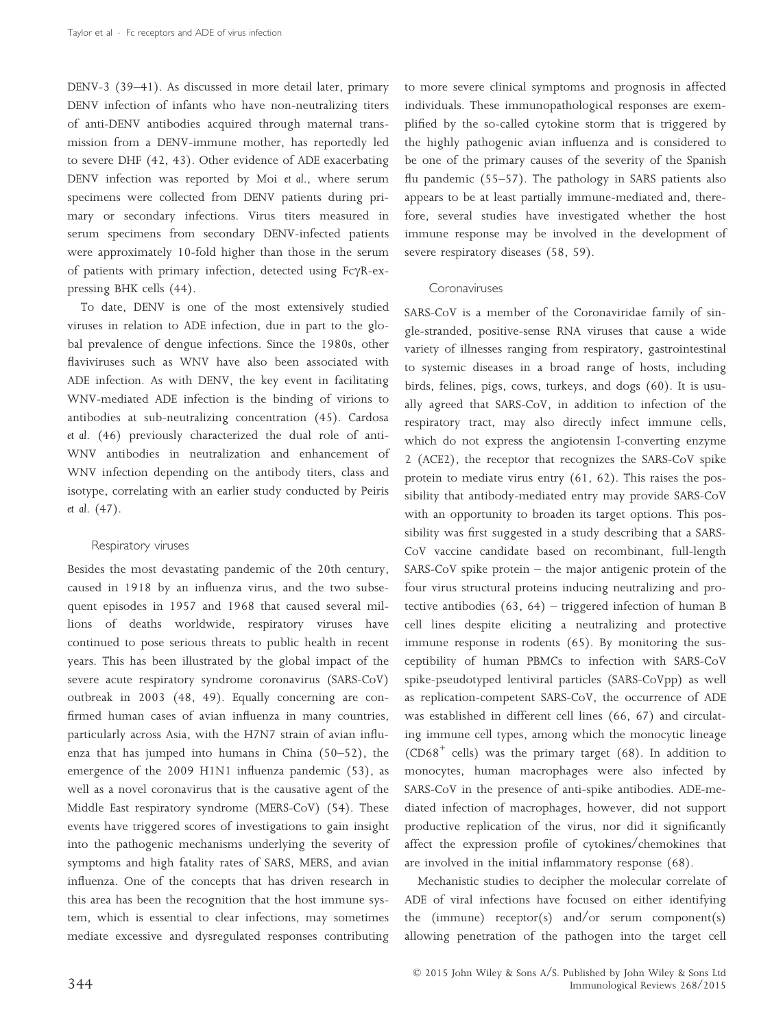DENV-3 (39–41). As discussed in more detail later, primary DENV infection of infants who have non-neutralizing titers of anti-DENV antibodies acquired through maternal transmission from a DENV-immune mother, has reportedly led to severe DHF (42, 43). Other evidence of ADE exacerbating DENV infection was reported by Moi *et al*., where serum specimens were collected from DENV patients during primary or secondary infections. Virus titers measured in serum specimens from secondary DENV-infected patients were approximately 10-fold higher than those in the serum of patients with primary infection, detected using  $Fc\gamma R-ex$ pressing BHK cells (44).

To date, DENV is one of the most extensively studied viruses in relation to ADE infection, due in part to the global prevalence of dengue infections. Since the 1980s, other flaviviruses such as WNV have also been associated with ADE infection. As with DENV, the key event in facilitating WNV-mediated ADE infection is the binding of virions to antibodies at sub-neutralizing concentration (45). Cardosa *et al*. (46) previously characterized the dual role of anti-WNV antibodies in neutralization and enhancement of WNV infection depending on the antibody titers, class and isotype, correlating with an earlier study conducted by Peiris *et al*. (47).

## Respiratory viruses

Besides the most devastating pandemic of the 20th century, caused in 1918 by an influenza virus, and the two subsequent episodes in 1957 and 1968 that caused several millions of deaths worldwide, respiratory viruses have continued to pose serious threats to public health in recent years. This has been illustrated by the global impact of the severe acute respiratory syndrome coronavirus (SARS-CoV) outbreak in 2003 (48, 49). Equally concerning are confirmed human cases of avian influenza in many countries, particularly across Asia, with the H7N7 strain of avian influenza that has jumped into humans in China (50–52), the emergence of the 2009 H1N1 influenza pandemic (53), as well as a novel coronavirus that is the causative agent of the Middle East respiratory syndrome (MERS-CoV) (54). These events have triggered scores of investigations to gain insight into the pathogenic mechanisms underlying the severity of symptoms and high fatality rates of SARS, MERS, and avian influenza. One of the concepts that has driven research in this area has been the recognition that the host immune system, which is essential to clear infections, may sometimes mediate excessive and dysregulated responses contributing

to more severe clinical symptoms and prognosis in affected individuals. These immunopathological responses are exemplified by the so-called cytokine storm that is triggered by the highly pathogenic avian influenza and is considered to be one of the primary causes of the severity of the Spanish flu pandemic (55–57). The pathology in SARS patients also appears to be at least partially immune-mediated and, therefore, several studies have investigated whether the host immune response may be involved in the development of severe respiratory diseases (58, 59).

## Coronaviruses

SARS-CoV is a member of the Coronaviridae family of single-stranded, positive-sense RNA viruses that cause a wide variety of illnesses ranging from respiratory, gastrointestinal to systemic diseases in a broad range of hosts, including birds, felines, pigs, cows, turkeys, and dogs (60). It is usually agreed that SARS-CoV, in addition to infection of the respiratory tract, may also directly infect immune cells, which do not express the angiotensin I-converting enzyme 2 (ACE2), the receptor that recognizes the SARS-CoV spike protein to mediate virus entry (61, 62). This raises the possibility that antibody-mediated entry may provide SARS-CoV with an opportunity to broaden its target options. This possibility was first suggested in a study describing that a SARS-CoV vaccine candidate based on recombinant, full-length SARS-CoV spike protein – the major antigenic protein of the four virus structural proteins inducing neutralizing and protective antibodies (63, 64) – triggered infection of human B cell lines despite eliciting a neutralizing and protective immune response in rodents (65). By monitoring the susceptibility of human PBMCs to infection with SARS-CoV spike-pseudotyped lentiviral particles (SARS-CoVpp) as well as replication-competent SARS-CoV, the occurrence of ADE was established in different cell lines (66, 67) and circulating immune cell types, among which the monocytic lineage (CD68<sup>+</sup> cells) was the primary target (68). In addition to monocytes, human macrophages were also infected by SARS-CoV in the presence of anti-spike antibodies. ADE-mediated infection of macrophages, however, did not support productive replication of the virus, nor did it significantly affect the expression profile of cytokines/chemokines that are involved in the initial inflammatory response (68).

Mechanistic studies to decipher the molecular correlate of ADE of viral infections have focused on either identifying the (immune) receptor(s) and/or serum component(s) allowing penetration of the pathogen into the target cell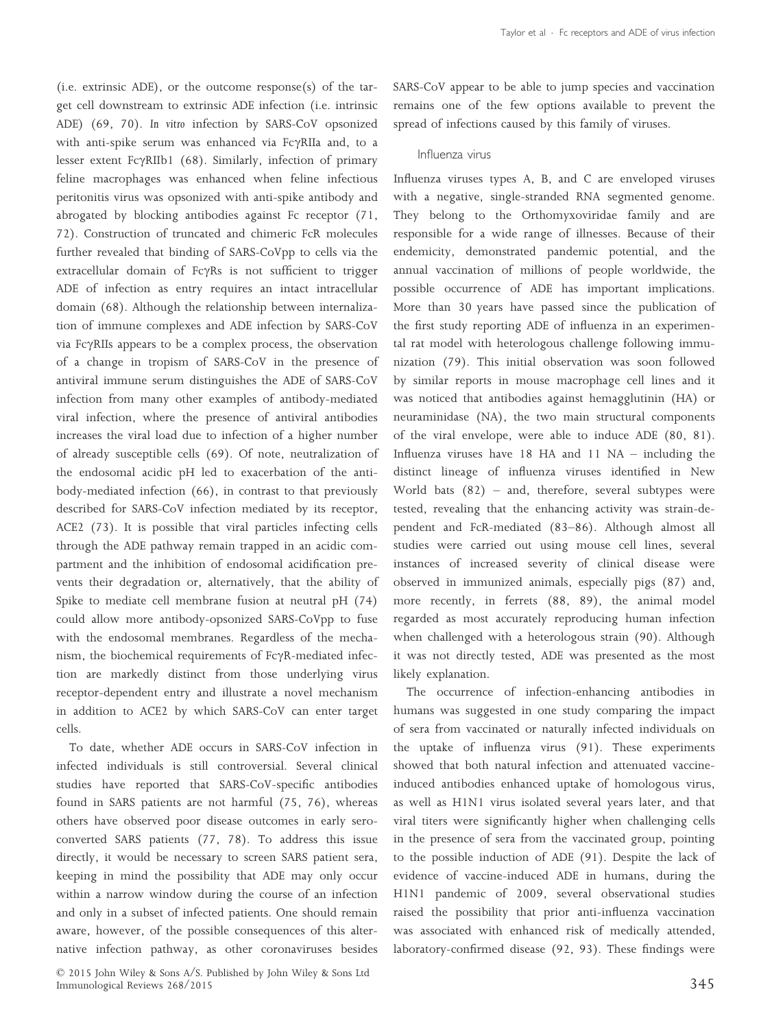(i.e. extrinsic ADE), or the outcome response(s) of the target cell downstream to extrinsic ADE infection (i.e. intrinsic ADE) (69, 70). *In vitro* infection by SARS-CoV opsonized with anti-spike serum was enhanced via FcyRIIa and, to a lesser extent  $E\gamma RIIb1$  (68). Similarly, infection of primary feline macrophages was enhanced when feline infectious peritonitis virus was opsonized with anti-spike antibody and abrogated by blocking antibodies against Fc receptor (71, 72). Construction of truncated and chimeric FcR molecules further revealed that binding of SARS-CoVpp to cells via the extracellular domain of FcyRs is not sufficient to trigger ADE of infection as entry requires an intact intracellular domain (68). Although the relationship between internalization of immune complexes and ADE infection by SARS-CoV via Fc $\gamma$ RIIs appears to be a complex process, the observation of a change in tropism of SARS-CoV in the presence of antiviral immune serum distinguishes the ADE of SARS-CoV infection from many other examples of antibody-mediated viral infection, where the presence of antiviral antibodies increases the viral load due to infection of a higher number of already susceptible cells (69). Of note, neutralization of the endosomal acidic pH led to exacerbation of the antibody-mediated infection (66), in contrast to that previously described for SARS-CoV infection mediated by its receptor, ACE2 (73). It is possible that viral particles infecting cells through the ADE pathway remain trapped in an acidic compartment and the inhibition of endosomal acidification prevents their degradation or, alternatively, that the ability of Spike to mediate cell membrane fusion at neutral pH (74) could allow more antibody-opsonized SARS-CoVpp to fuse with the endosomal membranes. Regardless of the mechanism, the biochemical requirements of  $Fc\gamma R$ -mediated infection are markedly distinct from those underlying virus receptor-dependent entry and illustrate a novel mechanism in addition to ACE2 by which SARS-CoV can enter target cells.

To date, whether ADE occurs in SARS-CoV infection in infected individuals is still controversial. Several clinical studies have reported that SARS-CoV-specific antibodies found in SARS patients are not harmful (75, 76), whereas others have observed poor disease outcomes in early seroconverted SARS patients (77, 78). To address this issue directly, it would be necessary to screen SARS patient sera, keeping in mind the possibility that ADE may only occur within a narrow window during the course of an infection and only in a subset of infected patients. One should remain aware, however, of the possible consequences of this alternative infection pathway, as other coronaviruses besides SARS-CoV appear to be able to jump species and vaccination remains one of the few options available to prevent the spread of infections caused by this family of viruses.

# Influenza virus

Influenza viruses types A, B, and C are enveloped viruses with a negative, single-stranded RNA segmented genome. They belong to the Orthomyxoviridae family and are responsible for a wide range of illnesses. Because of their endemicity, demonstrated pandemic potential, and the annual vaccination of millions of people worldwide, the possible occurrence of ADE has important implications. More than 30 years have passed since the publication of the first study reporting ADE of influenza in an experimental rat model with heterologous challenge following immunization (79). This initial observation was soon followed by similar reports in mouse macrophage cell lines and it was noticed that antibodies against hemagglutinin (HA) or neuraminidase (NA), the two main structural components of the viral envelope, were able to induce ADE (80, 81). Influenza viruses have 18 HA and 11 NA – including the distinct lineage of influenza viruses identified in New World bats  $(82)$  – and, therefore, several subtypes were tested, revealing that the enhancing activity was strain-dependent and FcR-mediated (83–86). Although almost all studies were carried out using mouse cell lines, several instances of increased severity of clinical disease were observed in immunized animals, especially pigs (87) and, more recently, in ferrets (88, 89), the animal model regarded as most accurately reproducing human infection when challenged with a heterologous strain (90). Although it was not directly tested, ADE was presented as the most likely explanation.

The occurrence of infection-enhancing antibodies in humans was suggested in one study comparing the impact of sera from vaccinated or naturally infected individuals on the uptake of influenza virus (91). These experiments showed that both natural infection and attenuated vaccineinduced antibodies enhanced uptake of homologous virus, as well as H1N1 virus isolated several years later, and that viral titers were significantly higher when challenging cells in the presence of sera from the vaccinated group, pointing to the possible induction of ADE (91). Despite the lack of evidence of vaccine-induced ADE in humans, during the H1N1 pandemic of 2009, several observational studies raised the possibility that prior anti-influenza vaccination was associated with enhanced risk of medically attended, laboratory-confirmed disease (92, 93). These findings were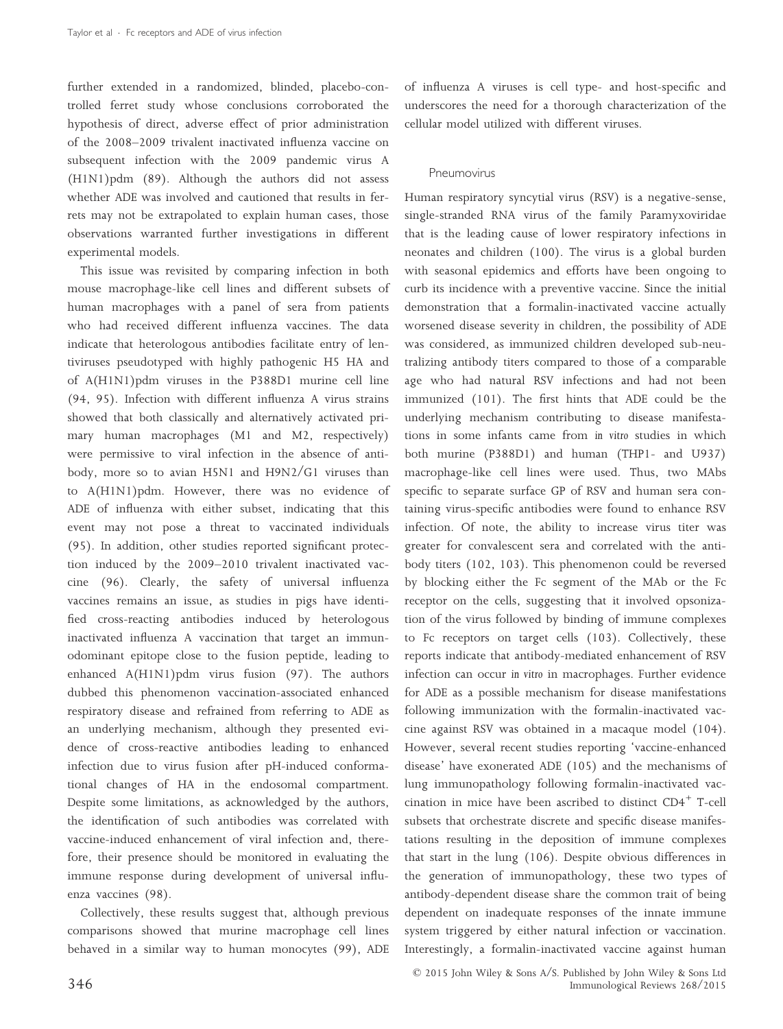further extended in a randomized, blinded, placebo-controlled ferret study whose conclusions corroborated the hypothesis of direct, adverse effect of prior administration of the 2008–2009 trivalent inactivated influenza vaccine on subsequent infection with the 2009 pandemic virus A (H1N1)pdm (89). Although the authors did not assess whether ADE was involved and cautioned that results in ferrets may not be extrapolated to explain human cases, those observations warranted further investigations in different experimental models.

This issue was revisited by comparing infection in both mouse macrophage-like cell lines and different subsets of human macrophages with a panel of sera from patients who had received different influenza vaccines. The data indicate that heterologous antibodies facilitate entry of lentiviruses pseudotyped with highly pathogenic H5 HA and of A(H1N1)pdm viruses in the P388D1 murine cell line (94, 95). Infection with different influenza A virus strains showed that both classically and alternatively activated primary human macrophages (M1 and M2, respectively) were permissive to viral infection in the absence of antibody, more so to avian H5N1 and H9N2/G1 viruses than to A(H1N1)pdm. However, there was no evidence of ADE of influenza with either subset, indicating that this event may not pose a threat to vaccinated individuals (95). In addition, other studies reported significant protection induced by the 2009–2010 trivalent inactivated vaccine (96). Clearly, the safety of universal influenza vaccines remains an issue, as studies in pigs have identified cross-reacting antibodies induced by heterologous inactivated influenza A vaccination that target an immunodominant epitope close to the fusion peptide, leading to enhanced A(H1N1)pdm virus fusion (97). The authors dubbed this phenomenon vaccination-associated enhanced respiratory disease and refrained from referring to ADE as an underlying mechanism, although they presented evidence of cross-reactive antibodies leading to enhanced infection due to virus fusion after pH-induced conformational changes of HA in the endosomal compartment. Despite some limitations, as acknowledged by the authors, the identification of such antibodies was correlated with vaccine-induced enhancement of viral infection and, therefore, their presence should be monitored in evaluating the immune response during development of universal influenza vaccines (98).

Collectively, these results suggest that, although previous comparisons showed that murine macrophage cell lines behaved in a similar way to human monocytes (99), ADE of influenza A viruses is cell type- and host-specific and underscores the need for a thorough characterization of the cellular model utilized with different viruses.

## Pneumovirus

Human respiratory syncytial virus (RSV) is a negative-sense, single-stranded RNA virus of the family Paramyxoviridae that is the leading cause of lower respiratory infections in neonates and children (100). The virus is a global burden with seasonal epidemics and efforts have been ongoing to curb its incidence with a preventive vaccine. Since the initial demonstration that a formalin-inactivated vaccine actually worsened disease severity in children, the possibility of ADE was considered, as immunized children developed sub-neutralizing antibody titers compared to those of a comparable age who had natural RSV infections and had not been immunized (101). The first hints that ADE could be the underlying mechanism contributing to disease manifestations in some infants came from *in vitro* studies in which both murine (P388D1) and human (THP1- and U937) macrophage-like cell lines were used. Thus, two MAbs specific to separate surface GP of RSV and human sera containing virus-specific antibodies were found to enhance RSV infection. Of note, the ability to increase virus titer was greater for convalescent sera and correlated with the antibody titers (102, 103). This phenomenon could be reversed by blocking either the Fc segment of the MAb or the Fc receptor on the cells, suggesting that it involved opsonization of the virus followed by binding of immune complexes to Fc receptors on target cells (103). Collectively, these reports indicate that antibody-mediated enhancement of RSV infection can occur *in vitro* in macrophages. Further evidence for ADE as a possible mechanism for disease manifestations following immunization with the formalin-inactivated vaccine against RSV was obtained in a macaque model (104). However, several recent studies reporting 'vaccine-enhanced disease' have exonerated ADE (105) and the mechanisms of lung immunopathology following formalin-inactivated vaccination in mice have been ascribed to distinct CD4<sup>+</sup> T-cell subsets that orchestrate discrete and specific disease manifestations resulting in the deposition of immune complexes that start in the lung (106). Despite obvious differences in the generation of immunopathology, these two types of antibody-dependent disease share the common trait of being dependent on inadequate responses of the innate immune system triggered by either natural infection or vaccination. Interestingly, a formalin-inactivated vaccine against human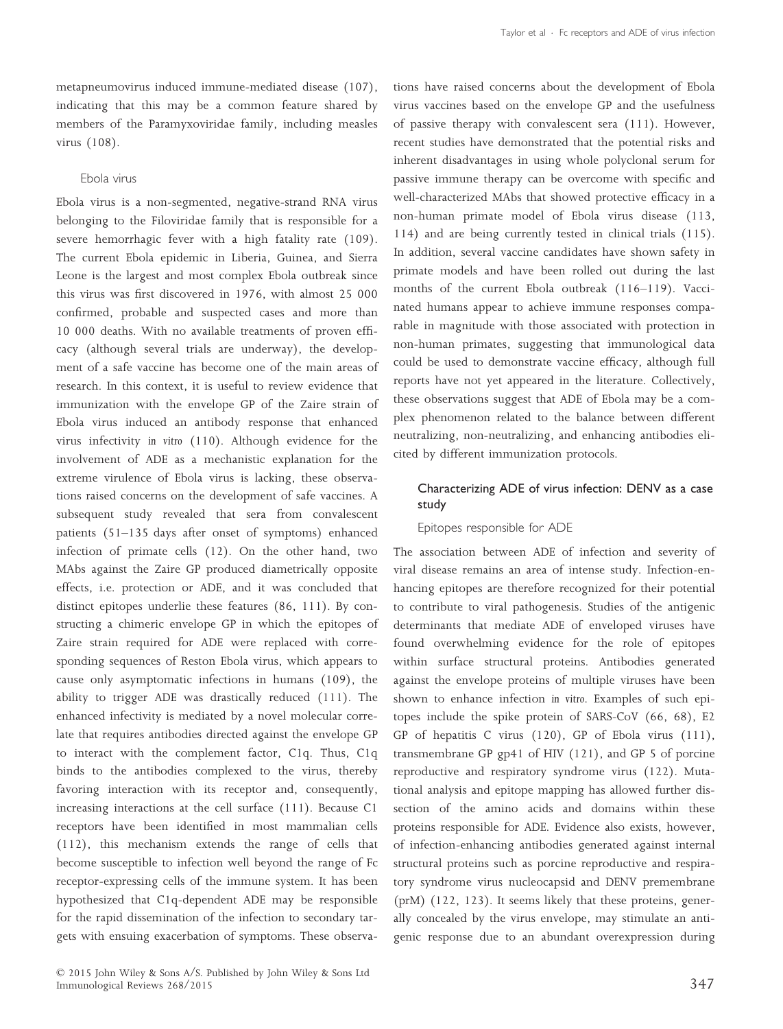metapneumovirus induced immune-mediated disease (107), indicating that this may be a common feature shared by members of the Paramyxoviridae family, including measles virus (108).

# Ebola virus

Ebola virus is a non-segmented, negative-strand RNA virus belonging to the Filoviridae family that is responsible for a severe hemorrhagic fever with a high fatality rate (109). The current Ebola epidemic in Liberia, Guinea, and Sierra Leone is the largest and most complex Ebola outbreak since this virus was first discovered in 1976, with almost 25 000 confirmed, probable and suspected cases and more than 10 000 deaths. With no available treatments of proven efficacy (although several trials are underway), the development of a safe vaccine has become one of the main areas of research. In this context, it is useful to review evidence that immunization with the envelope GP of the Zaire strain of Ebola virus induced an antibody response that enhanced virus infectivity *in vitro* (110). Although evidence for the involvement of ADE as a mechanistic explanation for the extreme virulence of Ebola virus is lacking, these observations raised concerns on the development of safe vaccines. A subsequent study revealed that sera from convalescent patients (51–135 days after onset of symptoms) enhanced infection of primate cells (12). On the other hand, two MAbs against the Zaire GP produced diametrically opposite effects, i.e. protection or ADE, and it was concluded that distinct epitopes underlie these features (86, 111). By constructing a chimeric envelope GP in which the epitopes of Zaire strain required for ADE were replaced with corresponding sequences of Reston Ebola virus, which appears to cause only asymptomatic infections in humans (109), the ability to trigger ADE was drastically reduced (111). The enhanced infectivity is mediated by a novel molecular correlate that requires antibodies directed against the envelope GP to interact with the complement factor, C1q. Thus, C1q binds to the antibodies complexed to the virus, thereby favoring interaction with its receptor and, consequently, increasing interactions at the cell surface (111). Because C1 receptors have been identified in most mammalian cells (112), this mechanism extends the range of cells that become susceptible to infection well beyond the range of Fc receptor-expressing cells of the immune system. It has been hypothesized that C1q-dependent ADE may be responsible for the rapid dissemination of the infection to secondary targets with ensuing exacerbation of symptoms. These observations have raised concerns about the development of Ebola virus vaccines based on the envelope GP and the usefulness of passive therapy with convalescent sera (111). However, recent studies have demonstrated that the potential risks and inherent disadvantages in using whole polyclonal serum for passive immune therapy can be overcome with specific and well-characterized MAbs that showed protective efficacy in a non-human primate model of Ebola virus disease (113, 114) and are being currently tested in clinical trials (115). In addition, several vaccine candidates have shown safety in primate models and have been rolled out during the last months of the current Ebola outbreak (116–119). Vaccinated humans appear to achieve immune responses comparable in magnitude with those associated with protection in non-human primates, suggesting that immunological data could be used to demonstrate vaccine efficacy, although full reports have not yet appeared in the literature. Collectively, these observations suggest that ADE of Ebola may be a complex phenomenon related to the balance between different neutralizing, non-neutralizing, and enhancing antibodies elicited by different immunization protocols.

# Characterizing ADE of virus infection: DENV as a case study

# Epitopes responsible for ADE

The association between ADE of infection and severity of viral disease remains an area of intense study. Infection-enhancing epitopes are therefore recognized for their potential to contribute to viral pathogenesis. Studies of the antigenic determinants that mediate ADE of enveloped viruses have found overwhelming evidence for the role of epitopes within surface structural proteins. Antibodies generated against the envelope proteins of multiple viruses have been shown to enhance infection *in vitro*. Examples of such epitopes include the spike protein of SARS-CoV (66, 68), E2 GP of hepatitis C virus (120), GP of Ebola virus (111), transmembrane GP gp41 of HIV (121), and GP 5 of porcine reproductive and respiratory syndrome virus (122). Mutational analysis and epitope mapping has allowed further dissection of the amino acids and domains within these proteins responsible for ADE. Evidence also exists, however, of infection-enhancing antibodies generated against internal structural proteins such as porcine reproductive and respiratory syndrome virus nucleocapsid and DENV premembrane (prM) (122, 123). It seems likely that these proteins, generally concealed by the virus envelope, may stimulate an antigenic response due to an abundant overexpression during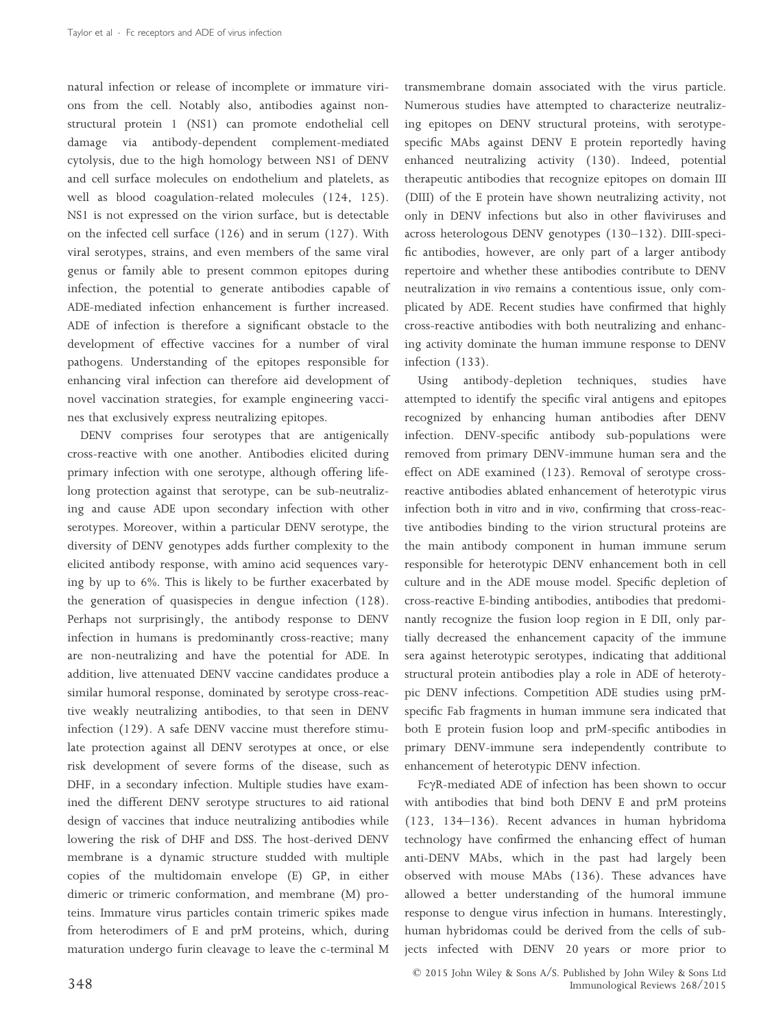natural infection or release of incomplete or immature virions from the cell. Notably also, antibodies against nonstructural protein 1 (NS1) can promote endothelial cell damage via antibody-dependent complement-mediated cytolysis, due to the high homology between NS1 of DENV and cell surface molecules on endothelium and platelets, as well as blood coagulation-related molecules (124, 125). NS1 is not expressed on the virion surface, but is detectable on the infected cell surface (126) and in serum (127). With viral serotypes, strains, and even members of the same viral genus or family able to present common epitopes during infection, the potential to generate antibodies capable of ADE-mediated infection enhancement is further increased. ADE of infection is therefore a significant obstacle to the development of effective vaccines for a number of viral pathogens. Understanding of the epitopes responsible for enhancing viral infection can therefore aid development of novel vaccination strategies, for example engineering vaccines that exclusively express neutralizing epitopes.

DENV comprises four serotypes that are antigenically cross-reactive with one another. Antibodies elicited during primary infection with one serotype, although offering lifelong protection against that serotype, can be sub-neutralizing and cause ADE upon secondary infection with other serotypes. Moreover, within a particular DENV serotype, the diversity of DENV genotypes adds further complexity to the elicited antibody response, with amino acid sequences varying by up to 6%. This is likely to be further exacerbated by the generation of quasispecies in dengue infection (128). Perhaps not surprisingly, the antibody response to DENV infection in humans is predominantly cross-reactive; many are non-neutralizing and have the potential for ADE. In addition, live attenuated DENV vaccine candidates produce a similar humoral response, dominated by serotype cross-reactive weakly neutralizing antibodies, to that seen in DENV infection (129). A safe DENV vaccine must therefore stimulate protection against all DENV serotypes at once, or else risk development of severe forms of the disease, such as DHF, in a secondary infection. Multiple studies have examined the different DENV serotype structures to aid rational design of vaccines that induce neutralizing antibodies while lowering the risk of DHF and DSS. The host-derived DENV membrane is a dynamic structure studded with multiple copies of the multidomain envelope (E) GP, in either dimeric or trimeric conformation, and membrane (M) proteins. Immature virus particles contain trimeric spikes made from heterodimers of E and prM proteins, which, during maturation undergo furin cleavage to leave the c-terminal M

transmembrane domain associated with the virus particle. Numerous studies have attempted to characterize neutralizing epitopes on DENV structural proteins, with serotypespecific MAbs against DENV E protein reportedly having enhanced neutralizing activity (130). Indeed, potential therapeutic antibodies that recognize epitopes on domain III (DIII) of the E protein have shown neutralizing activity, not only in DENV infections but also in other flaviviruses and across heterologous DENV genotypes (130–132). DIII-specific antibodies, however, are only part of a larger antibody repertoire and whether these antibodies contribute to DENV neutralization *in vivo* remains a contentious issue, only complicated by ADE. Recent studies have confirmed that highly cross-reactive antibodies with both neutralizing and enhancing activity dominate the human immune response to DENV infection (133).

Using antibody-depletion techniques, studies have attempted to identify the specific viral antigens and epitopes recognized by enhancing human antibodies after DENV infection. DENV-specific antibody sub-populations were removed from primary DENV-immune human sera and the effect on ADE examined (123). Removal of serotype crossreactive antibodies ablated enhancement of heterotypic virus infection both *in vitro* and *in vivo*, confirming that cross-reactive antibodies binding to the virion structural proteins are the main antibody component in human immune serum responsible for heterotypic DENV enhancement both in cell culture and in the ADE mouse model. Specific depletion of cross-reactive E-binding antibodies, antibodies that predominantly recognize the fusion loop region in E DII, only partially decreased the enhancement capacity of the immune sera against heterotypic serotypes, indicating that additional structural protein antibodies play a role in ADE of heterotypic DENV infections. Competition ADE studies using prMspecific Fab fragments in human immune sera indicated that both E protein fusion loop and prM-specific antibodies in primary DENV-immune sera independently contribute to enhancement of heterotypic DENV infection.

Fc $\gamma$ R-mediated ADE of infection has been shown to occur with antibodies that bind both DENV E and prM proteins (123, 134–136). Recent advances in human hybridoma technology have confirmed the enhancing effect of human anti-DENV MAbs, which in the past had largely been observed with mouse MAbs (136). These advances have allowed a better understanding of the humoral immune response to dengue virus infection in humans. Interestingly, human hybridomas could be derived from the cells of subjects infected with DENV 20 years or more prior to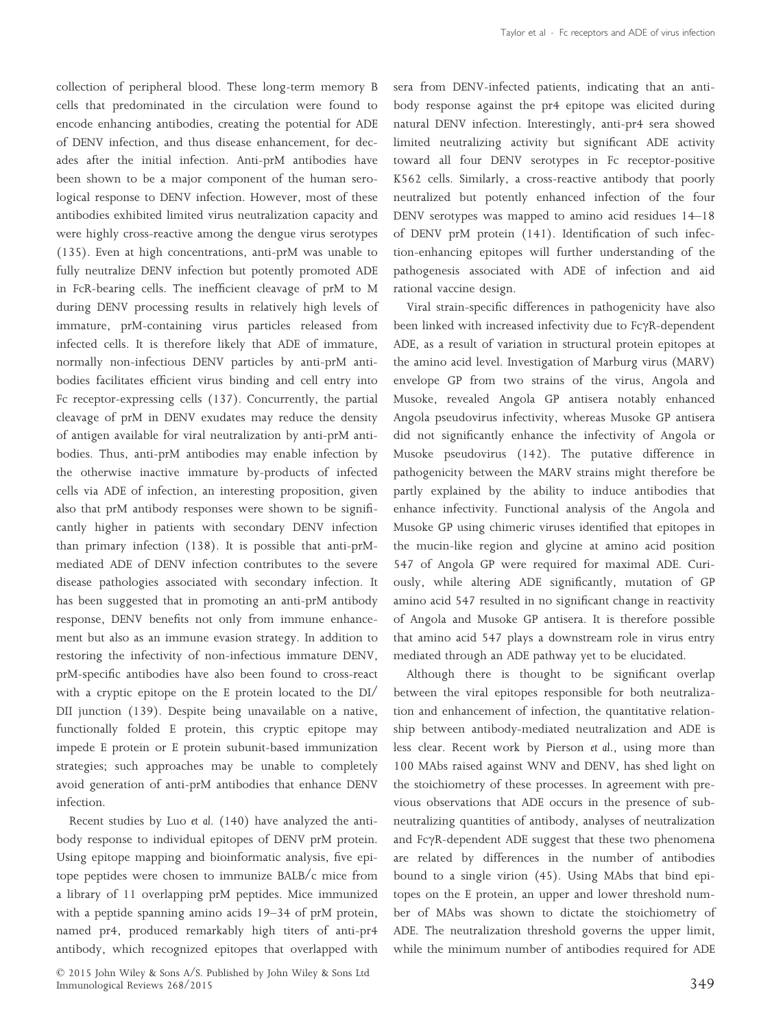collection of peripheral blood. These long-term memory B cells that predominated in the circulation were found to encode enhancing antibodies, creating the potential for ADE of DENV infection, and thus disease enhancement, for decades after the initial infection. Anti-prM antibodies have been shown to be a major component of the human serological response to DENV infection. However, most of these antibodies exhibited limited virus neutralization capacity and were highly cross-reactive among the dengue virus serotypes (135). Even at high concentrations, anti-prM was unable to fully neutralize DENV infection but potently promoted ADE in FcR-bearing cells. The inefficient cleavage of prM to M during DENV processing results in relatively high levels of immature, prM-containing virus particles released from infected cells. It is therefore likely that ADE of immature, normally non-infectious DENV particles by anti-prM antibodies facilitates efficient virus binding and cell entry into Fc receptor-expressing cells (137). Concurrently, the partial cleavage of prM in DENV exudates may reduce the density of antigen available for viral neutralization by anti-prM antibodies. Thus, anti-prM antibodies may enable infection by the otherwise inactive immature by-products of infected cells via ADE of infection, an interesting proposition, given also that prM antibody responses were shown to be significantly higher in patients with secondary DENV infection than primary infection (138). It is possible that anti-prMmediated ADE of DENV infection contributes to the severe disease pathologies associated with secondary infection. It has been suggested that in promoting an anti-prM antibody response, DENV benefits not only from immune enhancement but also as an immune evasion strategy. In addition to restoring the infectivity of non-infectious immature DENV, prM-specific antibodies have also been found to cross-react with a cryptic epitope on the E protein located to the DI/ DII junction (139). Despite being unavailable on a native, functionally folded E protein, this cryptic epitope may impede E protein or E protein subunit-based immunization strategies; such approaches may be unable to completely avoid generation of anti-prM antibodies that enhance DENV infection.

Recent studies by Luo *et al*. (140) have analyzed the antibody response to individual epitopes of DENV prM protein. Using epitope mapping and bioinformatic analysis, five epitope peptides were chosen to immunize BALB/c mice from a library of 11 overlapping prM peptides. Mice immunized with a peptide spanning amino acids 19–34 of prM protein, named pr4, produced remarkably high titers of anti-pr4 antibody, which recognized epitopes that overlapped with sera from DENV-infected patients, indicating that an antibody response against the pr4 epitope was elicited during natural DENV infection. Interestingly, anti-pr4 sera showed limited neutralizing activity but significant ADE activity toward all four DENV serotypes in Fc receptor-positive K562 cells. Similarly, a cross-reactive antibody that poorly neutralized but potently enhanced infection of the four DENV serotypes was mapped to amino acid residues 14–18 of DENV prM protein (141). Identification of such infection-enhancing epitopes will further understanding of the pathogenesis associated with ADE of infection and aid rational vaccine design.

Viral strain-specific differences in pathogenicity have also been linked with increased infectivity due to Fc $\gamma$ R-dependent ADE, as a result of variation in structural protein epitopes at the amino acid level. Investigation of Marburg virus (MARV) envelope GP from two strains of the virus, Angola and Musoke, revealed Angola GP antisera notably enhanced Angola pseudovirus infectivity, whereas Musoke GP antisera did not significantly enhance the infectivity of Angola or Musoke pseudovirus (142). The putative difference in pathogenicity between the MARV strains might therefore be partly explained by the ability to induce antibodies that enhance infectivity. Functional analysis of the Angola and Musoke GP using chimeric viruses identified that epitopes in the mucin-like region and glycine at amino acid position 547 of Angola GP were required for maximal ADE. Curiously, while altering ADE significantly, mutation of GP amino acid 547 resulted in no significant change in reactivity of Angola and Musoke GP antisera. It is therefore possible that amino acid 547 plays a downstream role in virus entry mediated through an ADE pathway yet to be elucidated.

Although there is thought to be significant overlap between the viral epitopes responsible for both neutralization and enhancement of infection, the quantitative relationship between antibody-mediated neutralization and ADE is less clear. Recent work by Pierson *et al*., using more than 100 MAbs raised against WNV and DENV, has shed light on the stoichiometry of these processes. In agreement with previous observations that ADE occurs in the presence of subneutralizing quantities of antibody, analyses of neutralization and Fc $\gamma$ R-dependent ADE suggest that these two phenomena are related by differences in the number of antibodies bound to a single virion (45). Using MAbs that bind epitopes on the E protein, an upper and lower threshold number of MAbs was shown to dictate the stoichiometry of ADE. The neutralization threshold governs the upper limit, while the minimum number of antibodies required for ADE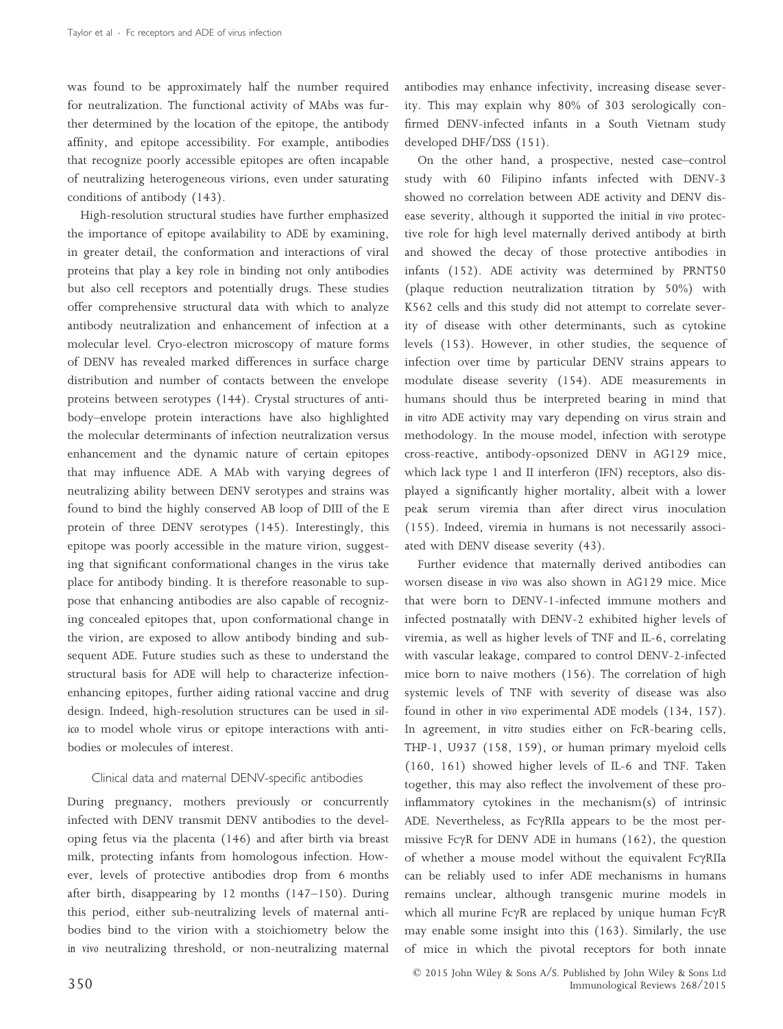was found to be approximately half the number required for neutralization. The functional activity of MAbs was further determined by the location of the epitope, the antibody affinity, and epitope accessibility. For example, antibodies that recognize poorly accessible epitopes are often incapable of neutralizing heterogeneous virions, even under saturating conditions of antibody (143).

High-resolution structural studies have further emphasized the importance of epitope availability to ADE by examining, in greater detail, the conformation and interactions of viral proteins that play a key role in binding not only antibodies but also cell receptors and potentially drugs. These studies offer comprehensive structural data with which to analyze antibody neutralization and enhancement of infection at a molecular level. Cryo-electron microscopy of mature forms of DENV has revealed marked differences in surface charge distribution and number of contacts between the envelope proteins between serotypes (144). Crystal structures of antibody–envelope protein interactions have also highlighted the molecular determinants of infection neutralization versus enhancement and the dynamic nature of certain epitopes that may influence ADE. A MAb with varying degrees of neutralizing ability between DENV serotypes and strains was found to bind the highly conserved AB loop of DIII of the E protein of three DENV serotypes (145). Interestingly, this epitope was poorly accessible in the mature virion, suggesting that significant conformational changes in the virus take place for antibody binding. It is therefore reasonable to suppose that enhancing antibodies are also capable of recognizing concealed epitopes that, upon conformational change in the virion, are exposed to allow antibody binding and subsequent ADE. Future studies such as these to understand the structural basis for ADE will help to characterize infectionenhancing epitopes, further aiding rational vaccine and drug design. Indeed, high-resolution structures can be used *in silico* to model whole virus or epitope interactions with antibodies or molecules of interest.

## Clinical data and maternal DENV-specific antibodies

During pregnancy, mothers previously or concurrently infected with DENV transmit DENV antibodies to the developing fetus via the placenta (146) and after birth via breast milk, protecting infants from homologous infection. However, levels of protective antibodies drop from 6 months after birth, disappearing by 12 months (147–150). During this period, either sub-neutralizing levels of maternal antibodies bind to the virion with a stoichiometry below the *in vivo* neutralizing threshold, or non-neutralizing maternal

antibodies may enhance infectivity, increasing disease severity. This may explain why 80% of 303 serologically confirmed DENV-infected infants in a South Vietnam study developed DHF/DSS (151).

On the other hand, a prospective, nested case–control study with 60 Filipino infants infected with DENV-3 showed no correlation between ADE activity and DENV disease severity, although it supported the initial *in vivo* protective role for high level maternally derived antibody at birth and showed the decay of those protective antibodies in infants (152). ADE activity was determined by PRNT50 (plaque reduction neutralization titration by 50%) with K562 cells and this study did not attempt to correlate severity of disease with other determinants, such as cytokine levels (153). However, in other studies, the sequence of infection over time by particular DENV strains appears to modulate disease severity (154). ADE measurements in humans should thus be interpreted bearing in mind that *in vitro* ADE activity may vary depending on virus strain and methodology. In the mouse model, infection with serotype cross-reactive, antibody-opsonized DENV in AG129 mice, which lack type 1 and II interferon (IFN) receptors, also displayed a significantly higher mortality, albeit with a lower peak serum viremia than after direct virus inoculation (155). Indeed, viremia in humans is not necessarily associated with DENV disease severity (43).

Further evidence that maternally derived antibodies can worsen disease *in vivo* was also shown in AG129 mice. Mice that were born to DENV-1-infected immune mothers and infected postnatally with DENV-2 exhibited higher levels of viremia, as well as higher levels of TNF and IL-6, correlating with vascular leakage, compared to control DENV-2-infected mice born to naive mothers (156). The correlation of high systemic levels of TNF with severity of disease was also found in other *in vivo* experimental ADE models (134, 157). In agreement, *in vitro* studies either on FcR-bearing cells, THP-1, U937 (158, 159), or human primary myeloid cells (160, 161) showed higher levels of IL-6 and TNF. Taken together, this may also reflect the involvement of these proinflammatory cytokines in the mechanism(s) of intrinsic ADE. Nevertheless, as  $Fc\gamma RIIa$  appears to be the most permissive Fc $\gamma$ R for DENV ADE in humans (162), the question of whether a mouse model without the equivalent FcyRIIa can be reliably used to infer ADE mechanisms in humans remains unclear, although transgenic murine models in which all murine Fc $\gamma$ R are replaced by unique human Fc $\gamma$ R may enable some insight into this (163). Similarly, the use of mice in which the pivotal receptors for both innate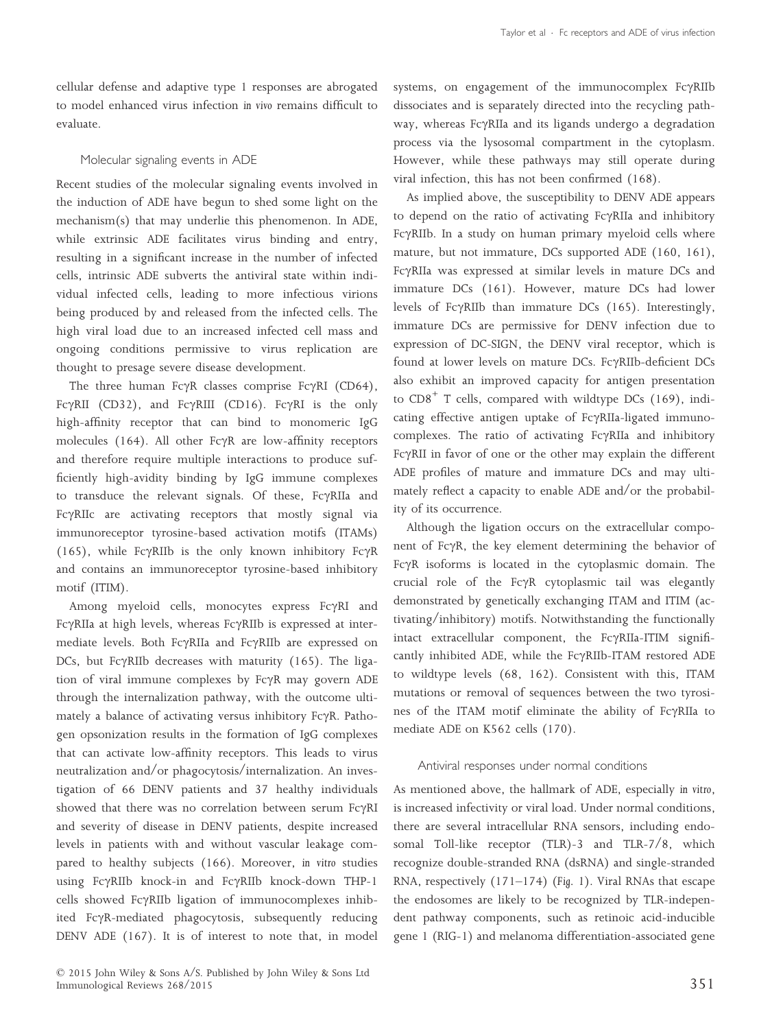cellular defense and adaptive type 1 responses are abrogated to model enhanced virus infection *in vivo* remains difficult to evaluate.

# Molecular signaling events in ADE

Recent studies of the molecular signaling events involved in the induction of ADE have begun to shed some light on the mechanism(s) that may underlie this phenomenon. In ADE, while extrinsic ADE facilitates virus binding and entry, resulting in a significant increase in the number of infected cells, intrinsic ADE subverts the antiviral state within individual infected cells, leading to more infectious virions being produced by and released from the infected cells. The high viral load due to an increased infected cell mass and ongoing conditions permissive to virus replication are thought to presage severe disease development.

The three human Fc $\gamma$ R classes comprise Fc $\gamma$ RI (CD64), Fc $\gamma$ RII (CD32), and Fc $\gamma$ RIII (CD16). Fc $\gamma$ RI is the only high-affinity receptor that can bind to monomeric IgG molecules (164). All other Fc $\gamma$ R are low-affinity receptors and therefore require multiple interactions to produce sufficiently high-avidity binding by IgG immune complexes to transduce the relevant signals. Of these, FcyRIIa and FcyRIIc are activating receptors that mostly signal via immunoreceptor tyrosine-based activation motifs (ITAMs) (165), while Fc $\gamma$ RIIb is the only known inhibitory Fc $\gamma$ R and contains an immunoreceptor tyrosine-based inhibitory motif (ITIM).

Among myeloid cells, monocytes express FcyRI and Fc $\gamma$ RIIa at high levels, whereas Fc $\gamma$ RIIb is expressed at intermediate levels. Both FcyRIIa and FcyRIIb are expressed on DCs, but Fc $\gamma$ RIIb decreases with maturity (165). The ligation of viral immune complexes by FcyR may govern ADE through the internalization pathway, with the outcome ultimately a balance of activating versus inhibitory  $Fc\gamma R$ . Pathogen opsonization results in the formation of IgG complexes that can activate low-affinity receptors. This leads to virus neutralization and/or phagocytosis/internalization. An investigation of 66 DENV patients and 37 healthy individuals showed that there was no correlation between serum  $Fc\gamma RI$ and severity of disease in DENV patients, despite increased levels in patients with and without vascular leakage compared to healthy subjects (166). Moreover, *in vitro* studies using FcyRIIb knock-in and FcyRIIb knock-down THP-1 cells showed FcyRIIb ligation of immunocomplexes inhibited Fc $\gamma$ R-mediated phagocytosis, subsequently reducing DENV ADE (167). It is of interest to note that, in model systems, on engagement of the immunocomplex  $Fc\gamma RIIb$ dissociates and is separately directed into the recycling pathway, whereas Fc $\gamma$ RIIa and its ligands undergo a degradation process via the lysosomal compartment in the cytoplasm. However, while these pathways may still operate during viral infection, this has not been confirmed (168).

As implied above, the susceptibility to DENV ADE appears to depend on the ratio of activating  $Fc\gamma RIIa$  and inhibitory Fc $\gamma$ RIIb. In a study on human primary myeloid cells where mature, but not immature, DCs supported ADE (160, 161), FcyRIIa was expressed at similar levels in mature DCs and immature DCs (161). However, mature DCs had lower levels of Fc $\gamma$ RIIb than immature DCs (165). Interestingly, immature DCs are permissive for DENV infection due to expression of DC-SIGN, the DENV viral receptor, which is found at lower levels on mature DCs. FcyRIIb-deficient DCs also exhibit an improved capacity for antigen presentation to CD8<sup>+</sup> T cells, compared with wildtype DCs (169), indicating effective antigen uptake of FcyRIIa-ligated immunocomplexes. The ratio of activating  $Fc\gamma RII$ a and inhibitory Fc $\gamma$ RII in favor of one or the other may explain the different ADE profiles of mature and immature DCs and may ultimately reflect a capacity to enable ADE and/or the probability of its occurrence.

Although the ligation occurs on the extracellular component of FcyR, the key element determining the behavior of FcyR isoforms is located in the cytoplasmic domain. The crucial role of the Fc $\gamma$ R cytoplasmic tail was elegantly demonstrated by genetically exchanging ITAM and ITIM (activating/inhibitory) motifs. Notwithstanding the functionally intact extracellular component, the FcyRIIa-ITIM significantly inhibited ADE, while the FcyRIIb-ITAM restored ADE to wildtype levels (68, 162). Consistent with this, ITAM mutations or removal of sequences between the two tyrosines of the ITAM motif eliminate the ability of FcyRIIa to mediate ADE on K562 cells (170).

## Antiviral responses under normal conditions

As mentioned above, the hallmark of ADE, especially *in vitro*, is increased infectivity or viral load. Under normal conditions, there are several intracellular RNA sensors, including endosomal Toll-like receptor (TLR)-3 and TLR-7/8, which recognize double-stranded RNA (dsRNA) and single-stranded RNA, respectively (171–174) (*Fig. 1*). Viral RNAs that escape the endosomes are likely to be recognized by TLR-independent pathway components, such as retinoic acid-inducible gene 1 (RIG-1) and melanoma differentiation-associated gene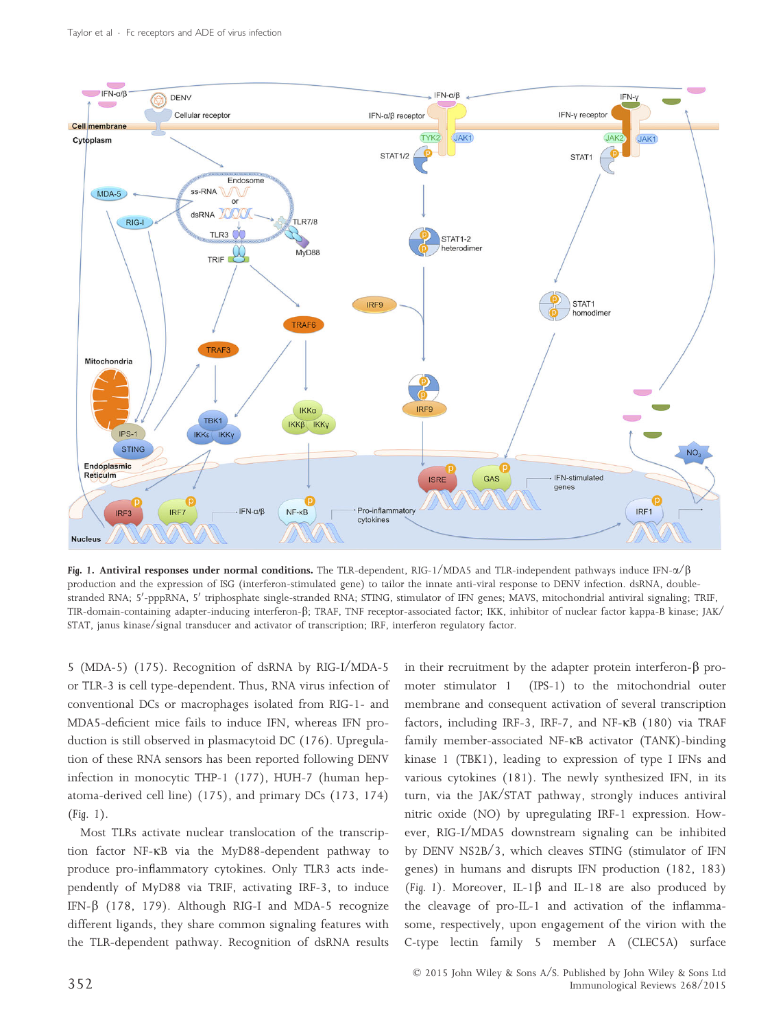

Fig. 1. Antiviral responses under normal conditions. The TLR-dependent, RIG-1/MDA5 and TLR-independent pathways induce IFN- $\alpha/\beta$ production and the expression of ISG (interferon-stimulated gene) to tailor the innate anti-viral response to DENV infection. dsRNA, double--<br>stranded RNA; 5′-pppRNA, 5′ triphosphate single-stranded RNA; STING, stimulator of IFN genes; MAVS, mitochondrial antiviral signaling; TRIF, TIR-domain-containing adapter-inducing interferon-b; TRAF, TNF receptor-associated factor; IKK, inhibitor of nuclear factor kappa-B kinase; JAK/ STAT, janus kinase/signal transducer and activator of transcription; IRF, interferon regulatory factor.

5 (MDA-5) (175). Recognition of dsRNA by RIG-I/MDA-5 or TLR-3 is cell type-dependent. Thus, RNA virus infection of conventional DCs or macrophages isolated from RIG-1- and MDA5-deficient mice fails to induce IFN, whereas IFN production is still observed in plasmacytoid DC (176). Upregulation of these RNA sensors has been reported following DENV infection in monocytic THP-1 (177), HUH-7 (human hepatoma-derived cell line) (175), and primary DCs (173, 174) (*Fig. 1*).

Most TLRs activate nuclear translocation of the transcription factor NF-KB via the MyD88-dependent pathway to produce pro-inflammatory cytokines. Only TLR3 acts independently of MyD88 via TRIF, activating IRF-3, to induce IFN- $\beta$  (178, 179). Although RIG-I and MDA-5 recognize different ligands, they share common signaling features with the TLR-dependent pathway. Recognition of dsRNA results in their recruitment by the adapter protein interferon- $\beta$  promoter stimulator 1 (IPS-1) to the mitochondrial outer membrane and consequent activation of several transcription factors, including IRF-3, IRF-7, and NF- $\kappa$ B (180) via TRAF family member-associated NF-KB activator (TANK)-binding kinase 1 (TBK1), leading to expression of type I IFNs and various cytokines (181). The newly synthesized IFN, in its turn, via the JAK/STAT pathway, strongly induces antiviral nitric oxide (NO) by upregulating IRF-1 expression. However, RIG-I/MDA5 downstream signaling can be inhibited by DENV NS2B/3, which cleaves STING (stimulator of IFN genes) in humans and disrupts IFN production (182, 183) (Fig. 1). Moreover, IL-1 $\beta$  and IL-18 are also produced by the cleavage of pro-IL-1 and activation of the inflammasome, respectively, upon engagement of the virion with the C-type lectin family 5 member A (CLEC5A) surface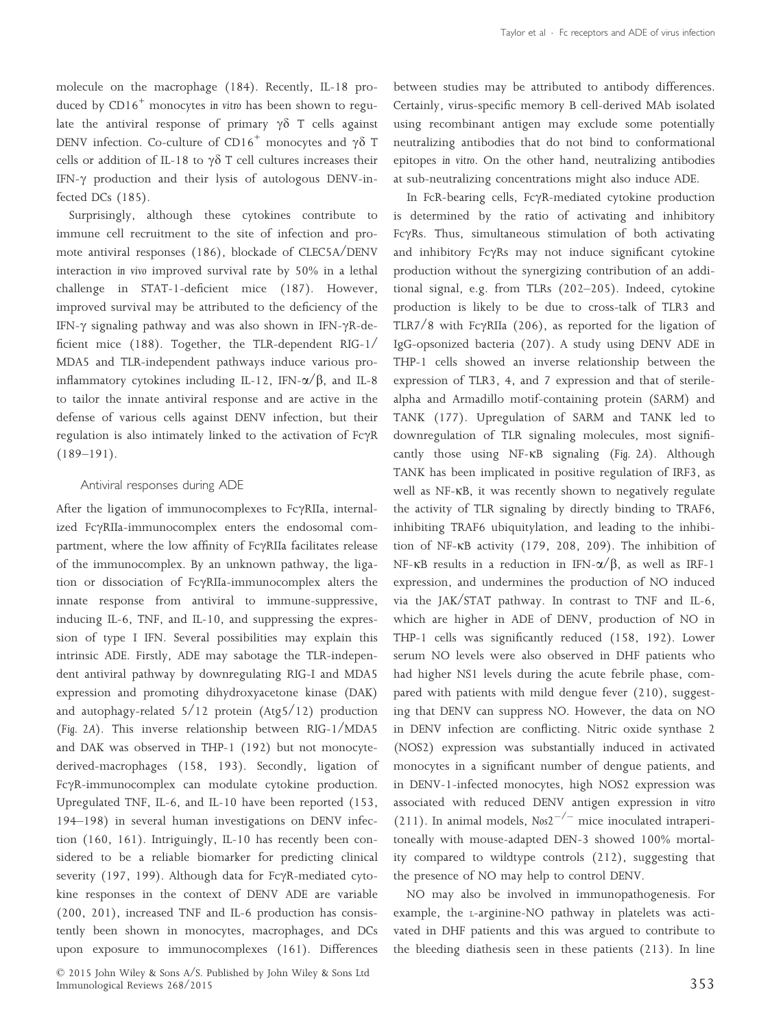molecule on the macrophage (184). Recently, IL-18 produced by CD16<sup>+</sup> monocytes *in vitro* has been shown to regulate the antiviral response of primary  $\gamma\delta$  T cells against DENV infection. Co-culture of CD16<sup>+</sup> monocytes and  $\gamma\delta$  T cells or addition of IL-18 to  $\gamma\delta$  T cell cultures increases their IFN- $\gamma$  production and their lysis of autologous DENV-infected DCs (185).

Surprisingly, although these cytokines contribute to immune cell recruitment to the site of infection and promote antiviral responses (186), blockade of CLEC5A/DENV interaction *in vivo* improved survival rate by 50% in a lethal challenge in STAT-1-deficient mice (187). However, improved survival may be attributed to the deficiency of the IFN- $\gamma$  signaling pathway and was also shown in IFN- $\gamma$ R-deficient mice (188). Together, the TLR-dependent RIG-1/ MDA5 and TLR-independent pathways induce various proinflammatory cytokines including IL-12, IFN- $\alpha$ / $\beta$ , and IL-8 to tailor the innate antiviral response and are active in the defense of various cells against DENV infection, but their regulation is also intimately linked to the activation of  $Fc\gamma R$  $(189-191)$ .

## Antiviral responses during ADE

After the ligation of immunocomplexes to  $Fc\gamma RIIa$ , internalized FcyRIIa-immunocomplex enters the endosomal compartment, where the low affinity of FcyRIIa facilitates release of the immunocomplex. By an unknown pathway, the ligation or dissociation of FcyRIIa-immunocomplex alters the innate response from antiviral to immune-suppressive, inducing IL-6, TNF, and IL-10, and suppressing the expression of type I IFN. Several possibilities may explain this intrinsic ADE. Firstly, ADE may sabotage the TLR-independent antiviral pathway by downregulating RIG-I and MDA5 expression and promoting dihydroxyacetone kinase (DAK) and autophagy-related 5/12 protein (Atg5/12) production (*Fig. 2A*). This inverse relationship between RIG-1/MDA5 and DAK was observed in THP-1 (192) but not monocytederived-macrophages (158, 193). Secondly, ligation of FcyR-immunocomplex can modulate cytokine production. Upregulated TNF, IL-6, and IL-10 have been reported (153, 194–198) in several human investigations on DENV infection (160, 161). Intriguingly, IL-10 has recently been considered to be a reliable biomarker for predicting clinical severity (197, 199). Although data for Fc $\gamma$ R-mediated cytokine responses in the context of DENV ADE are variable (200, 201), increased TNF and IL-6 production has consistently been shown in monocytes, macrophages, and DCs upon exposure to immunocomplexes (161). Differences between studies may be attributed to antibody differences. Certainly, virus-specific memory B cell-derived MAb isolated using recombinant antigen may exclude some potentially neutralizing antibodies that do not bind to conformational epitopes *in vitro*. On the other hand, neutralizing antibodies at sub-neutralizing concentrations might also induce ADE.

In FcR-bearing cells, Fc $\gamma$ R-mediated cytokine production is determined by the ratio of activating and inhibitory FcyRs. Thus, simultaneous stimulation of both activating and inhibitory  $Fc\gamma Rs$  may not induce significant cytokine production without the synergizing contribution of an additional signal, e.g. from TLRs (202–205). Indeed, cytokine production is likely to be due to cross-talk of TLR3 and TLR7/8 with Fc $\gamma$ RIIa (206), as reported for the ligation of IgG-opsonized bacteria (207). A study using DENV ADE in THP-1 cells showed an inverse relationship between the expression of TLR3, 4, and 7 expression and that of sterilealpha and Armadillo motif-containing protein (SARM) and TANK (177). Upregulation of SARM and TANK led to downregulation of TLR signaling molecules, most significantly those using NF-KB signaling (*Fig. 2A*). Although TANK has been implicated in positive regulation of IRF3, as well as NF-KB, it was recently shown to negatively regulate the activity of TLR signaling by directly binding to TRAF6, inhibiting TRAF6 ubiquitylation, and leading to the inhibition of NF- $\kappa$ B activity (179, 208, 209). The inhibition of NF-KB results in a reduction in IFN- $\alpha/\beta$ , as well as IRF-1 expression, and undermines the production of NO induced via the JAK/STAT pathway. In contrast to TNF and IL-6, which are higher in ADE of DENV, production of NO in THP-1 cells was significantly reduced (158, 192). Lower serum NO levels were also observed in DHF patients who had higher NS1 levels during the acute febrile phase, compared with patients with mild dengue fever (210), suggesting that DENV can suppress NO. However, the data on NO in DENV infection are conflicting. Nitric oxide synthase 2 (NOS2) expression was substantially induced in activated monocytes in a significant number of dengue patients, and in DENV-1-infected monocytes, high NOS2 expression was associated with reduced DENV antigen expression *in vitro* (211). In animal models,  $N_{0.052}^{-/-}$  mice inoculated intraperitoneally with mouse-adapted DEN-3 showed 100% mortality compared to wildtype controls (212), suggesting that the presence of NO may help to control DENV.

NO may also be involved in immunopathogenesis. For example, the <sup>L</sup>-arginine-NO pathway in platelets was activated in DHF patients and this was argued to contribute to the bleeding diathesis seen in these patients (213). In line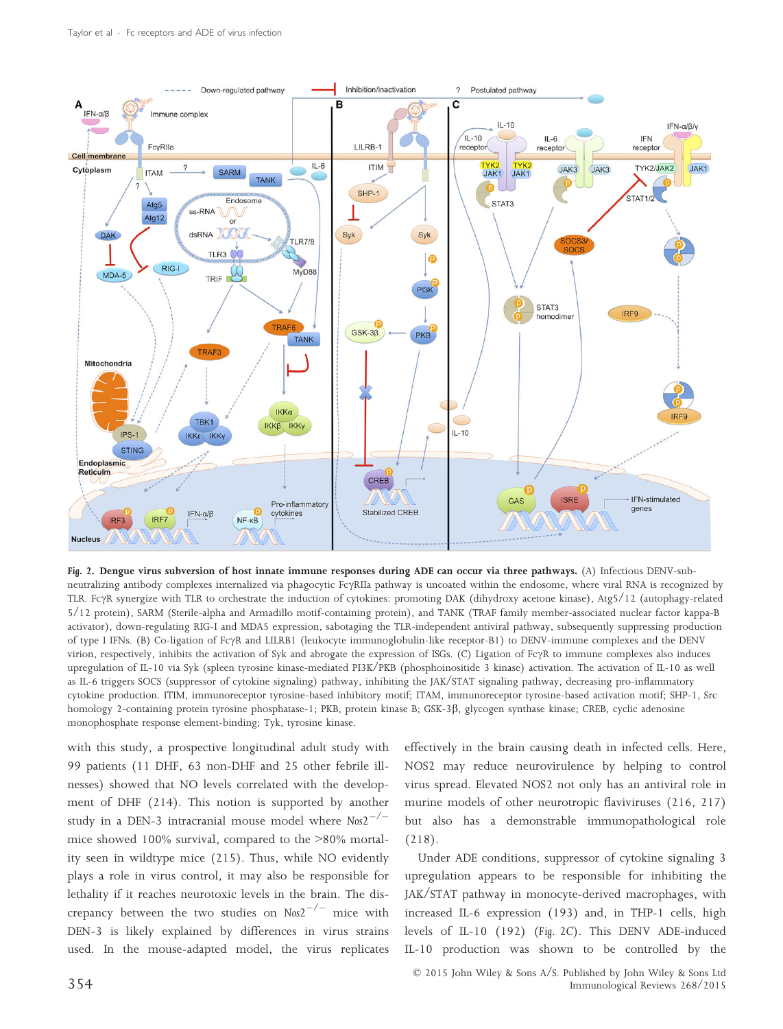

Fig. 2. Dengue virus subversion of host innate immune responses during ADE can occur via three pathways. (A) Infectious DENV-subneutralizing antibody complexes internalized via phagocytic FcyRIIa pathway is uncoated within the endosome, where viral RNA is recognized by TLR. FcyR synergize with TLR to orchestrate the induction of cytokines: promoting DAK (dihydroxy acetone kinase), Atg5/12 (autophagy-related 5/12 protein), SARM (Sterile-alpha and Armadillo motif-containing protein), and TANK (TRAF family member-associated nuclear factor kappa-B activator), down-regulating RIG-I and MDA5 expression, sabotaging the TLR-independent antiviral pathway, subsequently suppressing production of type I IFNs. (B) Co-ligation of FcyR and LILRB1 (leukocyte immunoglobulin-like receptor-B1) to DENV-immune complexes and the DENV virion, respectively, inhibits the activation of Syk and abrogate the expression of ISGs. (C) Ligation of FcyR to immune complexes also induces upregulation of IL-10 via Syk (spleen tyrosine kinase-mediated PI3K/PKB (phosphoinositide 3 kinase) activation. The activation of IL-10 as well as IL-6 triggers SOCS (suppressor of cytokine signaling) pathway, inhibiting the JAK/STAT signaling pathway, decreasing pro-inflammatory cytokine production. ITIM, immunoreceptor tyrosine-based inhibitory motif; ITAM, immunoreceptor tyrosine-based activation motif; SHP-1, Src homology 2-containing protein tyrosine phosphatase-1; PKB, protein kinase B; GSK-3 $\beta$ , glycogen synthase kinase; CREB, cyclic adenosine monophosphate response element-binding; Tyk, tyrosine kinase.

with this study, a prospective longitudinal adult study with 99 patients (11 DHF, 63 non-DHF and 25 other febrile illnesses) showed that NO levels correlated with the development of DHF (214). This notion is supported by another study in a DEN-3 intracranial mouse model where *Nos2/* mice showed 100% survival, compared to the >80% mortality seen in wildtype mice (215). Thus, while NO evidently plays a role in virus control, it may also be responsible for lethality if it reaches neurotoxic levels in the brain. The discrepancy between the two studies on  $N \omega^{2^{-/ -}}$  mice with DEN-3 is likely explained by differences in virus strains used. In the mouse-adapted model, the virus replicates

effectively in the brain causing death in infected cells. Here, NOS2 may reduce neurovirulence by helping to control virus spread. Elevated NOS2 not only has an antiviral role in murine models of other neurotropic flaviviruses (216, 217) but also has a demonstrable immunopathological role (218).

Under ADE conditions, suppressor of cytokine signaling 3 upregulation appears to be responsible for inhibiting the JAK/STAT pathway in monocyte-derived macrophages, with increased IL-6 expression (193) and, in THP-1 cells, high levels of IL-10 (192) (*Fig. 2C*). This DENV ADE-induced IL-10 production was shown to be controlled by the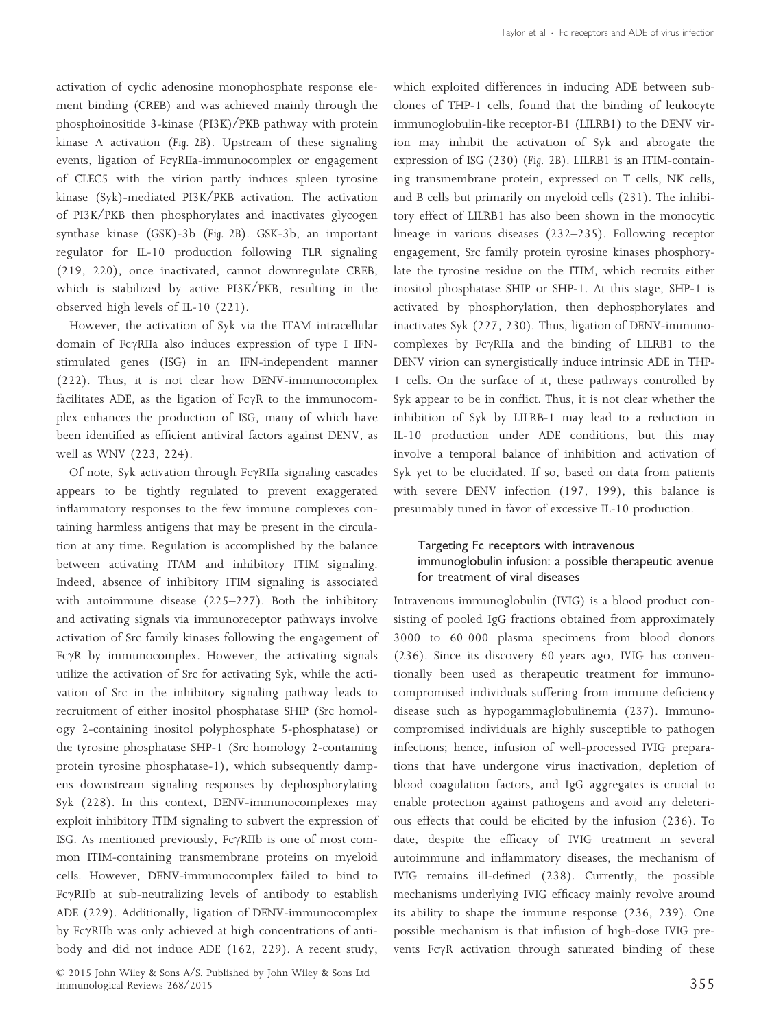activation of cyclic adenosine monophosphate response element binding (CREB) and was achieved mainly through the phosphoinositide 3-kinase (PI3K)/PKB pathway with protein kinase A activation (*Fig. 2B*). Upstream of these signaling events, ligation of  $FcYRIIa-immunocomplex$  or engagement of CLEC5 with the virion partly induces spleen tyrosine kinase (Syk)-mediated PI3K/PKB activation. The activation of PI3K/PKB then phosphorylates and inactivates glycogen synthase kinase (GSK)-3b (*Fig. 2B*). GSK-3b, an important regulator for IL-10 production following TLR signaling (219, 220), once inactivated, cannot downregulate CREB, which is stabilized by active PI3K/PKB, resulting in the observed high levels of IL-10 (221).

However, the activation of Syk via the ITAM intracellular domain of FcyRIIa also induces expression of type I IFNstimulated genes (ISG) in an IFN-independent manner (222). Thus, it is not clear how DENV-immunocomplex facilitates ADE, as the ligation of  $Fc\gamma R$  to the immunocomplex enhances the production of ISG, many of which have been identified as efficient antiviral factors against DENV, as well as WNV (223, 224).

Of note, Syk activation through FcyRIIa signaling cascades appears to be tightly regulated to prevent exaggerated inflammatory responses to the few immune complexes containing harmless antigens that may be present in the circulation at any time. Regulation is accomplished by the balance between activating ITAM and inhibitory ITIM signaling. Indeed, absence of inhibitory ITIM signaling is associated with autoimmune disease (225–227). Both the inhibitory and activating signals via immunoreceptor pathways involve activation of Src family kinases following the engagement of Fc $\gamma$ R by immunocomplex. However, the activating signals utilize the activation of Src for activating Syk, while the activation of Src in the inhibitory signaling pathway leads to recruitment of either inositol phosphatase SHIP (Src homology 2-containing inositol polyphosphate 5-phosphatase) or the tyrosine phosphatase SHP-1 (Src homology 2-containing protein tyrosine phosphatase-1), which subsequently dampens downstream signaling responses by dephosphorylating Syk (228). In this context, DENV-immunocomplexes may exploit inhibitory ITIM signaling to subvert the expression of ISG. As mentioned previously, Fc $\gamma$ RIIb is one of most common ITIM-containing transmembrane proteins on myeloid cells. However, DENV-immunocomplex failed to bind to FcyRIIb at sub-neutralizing levels of antibody to establish ADE (229). Additionally, ligation of DENV-immunocomplex by Fc $\gamma$ RIIb was only achieved at high concentrations of antibody and did not induce ADE (162, 229). A recent study,

which exploited differences in inducing ADE between subclones of THP-1 cells, found that the binding of leukocyte immunoglobulin-like receptor-B1 (LILRB1) to the DENV virion may inhibit the activation of Syk and abrogate the expression of ISG (230) (*Fig. 2B*). LILRB1 is an ITIM-containing transmembrane protein, expressed on T cells, NK cells, and B cells but primarily on myeloid cells (231). The inhibitory effect of LILRB1 has also been shown in the monocytic lineage in various diseases (232–235). Following receptor engagement, Src family protein tyrosine kinases phosphorylate the tyrosine residue on the ITIM, which recruits either inositol phosphatase SHIP or SHP-1. At this stage, SHP-1 is activated by phosphorylation, then dephosphorylates and inactivates Syk (227, 230). Thus, ligation of DENV-immunocomplexes by Fc $\gamma$ RIIa and the binding of LILRB1 to the DENV virion can synergistically induce intrinsic ADE in THP-1 cells. On the surface of it, these pathways controlled by Syk appear to be in conflict. Thus, it is not clear whether the inhibition of Syk by LILRB-1 may lead to a reduction in IL-10 production under ADE conditions, but this may involve a temporal balance of inhibition and activation of Syk yet to be elucidated. If so, based on data from patients with severe DENV infection (197, 199), this balance is presumably tuned in favor of excessive IL-10 production.

# Targeting Fc receptors with intravenous immunoglobulin infusion: a possible therapeutic avenue for treatment of viral diseases

Intravenous immunoglobulin (IVIG) is a blood product consisting of pooled IgG fractions obtained from approximately 3000 to 60 000 plasma specimens from blood donors (236). Since its discovery 60 years ago, IVIG has conventionally been used as therapeutic treatment for immunocompromised individuals suffering from immune deficiency disease such as hypogammaglobulinemia (237). Immunocompromised individuals are highly susceptible to pathogen infections; hence, infusion of well-processed IVIG preparations that have undergone virus inactivation, depletion of blood coagulation factors, and IgG aggregates is crucial to enable protection against pathogens and avoid any deleterious effects that could be elicited by the infusion (236). To date, despite the efficacy of IVIG treatment in several autoimmune and inflammatory diseases, the mechanism of IVIG remains ill-defined (238). Currently, the possible mechanisms underlying IVIG efficacy mainly revolve around its ability to shape the immune response (236, 239). One possible mechanism is that infusion of high-dose IVIG prevents FcyR activation through saturated binding of these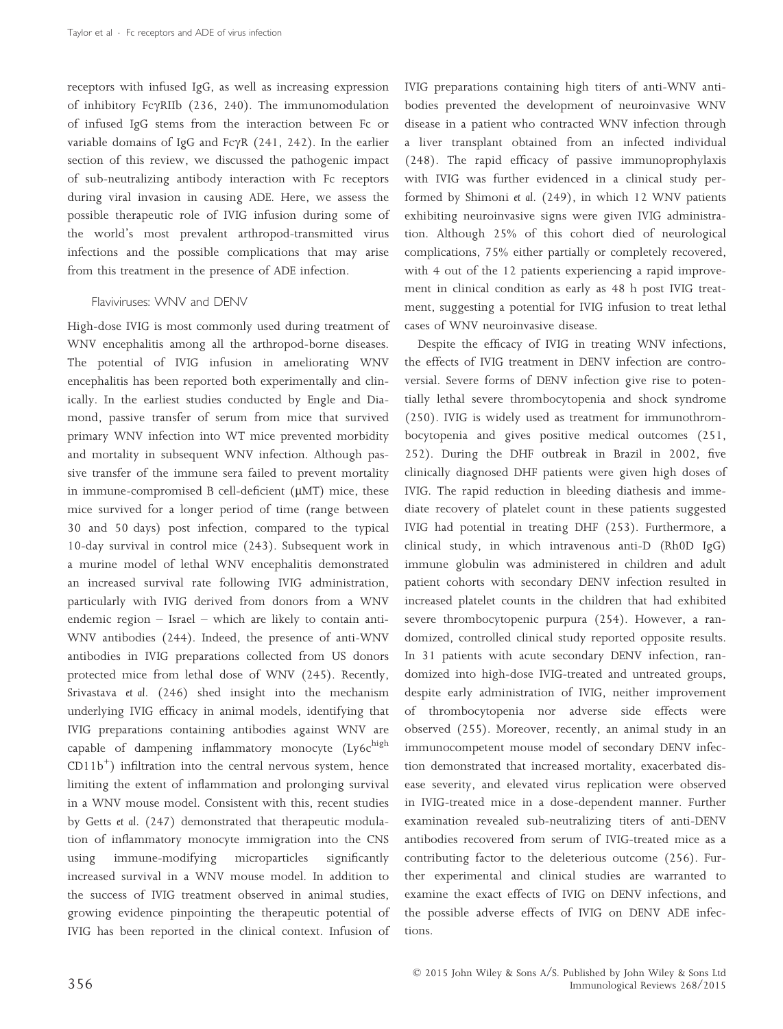receptors with infused IgG, as well as increasing expression of inhibitory Fc $\gamma$ RIIb (236, 240). The immunomodulation of infused IgG stems from the interaction between Fc or variable domains of IgG and Fc $\gamma$ R (241, 242). In the earlier section of this review, we discussed the pathogenic impact of sub-neutralizing antibody interaction with Fc receptors during viral invasion in causing ADE. Here, we assess the possible therapeutic role of IVIG infusion during some of the world's most prevalent arthropod-transmitted virus infections and the possible complications that may arise from this treatment in the presence of ADE infection.

### Flaviviruses: WNV and DENV

High-dose IVIG is most commonly used during treatment of WNV encephalitis among all the arthropod-borne diseases. The potential of IVIG infusion in ameliorating WNV encephalitis has been reported both experimentally and clinically. In the earliest studies conducted by Engle and Diamond, passive transfer of serum from mice that survived primary WNV infection into WT mice prevented morbidity and mortality in subsequent WNV infection. Although passive transfer of the immune sera failed to prevent mortality in immune-compromised B cell-deficient  $(\mu MT)$  mice, these mice survived for a longer period of time (range between 30 and 50 days) post infection, compared to the typical 10-day survival in control mice (243). Subsequent work in a murine model of lethal WNV encephalitis demonstrated an increased survival rate following IVIG administration, particularly with IVIG derived from donors from a WNV endemic region – Israel – which are likely to contain anti-WNV antibodies (244). Indeed, the presence of anti-WNV antibodies in IVIG preparations collected from US donors protected mice from lethal dose of WNV (245). Recently, Srivastava *et al*. (246) shed insight into the mechanism underlying IVIG efficacy in animal models, identifying that IVIG preparations containing antibodies against WNV are capable of dampening inflammatory monocyte  $(Ly6c^{high}$  $CD11b<sup>+</sup>$ ) infiltration into the central nervous system, hence limiting the extent of inflammation and prolonging survival in a WNV mouse model. Consistent with this, recent studies by Getts *et al*. (247) demonstrated that therapeutic modulation of inflammatory monocyte immigration into the CNS using immune-modifying microparticles significantly increased survival in a WNV mouse model. In addition to the success of IVIG treatment observed in animal studies, growing evidence pinpointing the therapeutic potential of IVIG has been reported in the clinical context. Infusion of IVIG preparations containing high titers of anti-WNV antibodies prevented the development of neuroinvasive WNV disease in a patient who contracted WNV infection through a liver transplant obtained from an infected individual (248). The rapid efficacy of passive immunoprophylaxis with IVIG was further evidenced in a clinical study performed by Shimoni *et al*. (249), in which 12 WNV patients exhibiting neuroinvasive signs were given IVIG administration. Although 25% of this cohort died of neurological complications, 75% either partially or completely recovered, with 4 out of the 12 patients experiencing a rapid improvement in clinical condition as early as 48 h post IVIG treatment, suggesting a potential for IVIG infusion to treat lethal cases of WNV neuroinvasive disease.

Despite the efficacy of IVIG in treating WNV infections, the effects of IVIG treatment in DENV infection are controversial. Severe forms of DENV infection give rise to potentially lethal severe thrombocytopenia and shock syndrome (250). IVIG is widely used as treatment for immunothrombocytopenia and gives positive medical outcomes (251, 252). During the DHF outbreak in Brazil in 2002, five clinically diagnosed DHF patients were given high doses of IVIG. The rapid reduction in bleeding diathesis and immediate recovery of platelet count in these patients suggested IVIG had potential in treating DHF (253). Furthermore, a clinical study, in which intravenous anti-D (Rh0D IgG) immune globulin was administered in children and adult patient cohorts with secondary DENV infection resulted in increased platelet counts in the children that had exhibited severe thrombocytopenic purpura (254). However, a randomized, controlled clinical study reported opposite results. In 31 patients with acute secondary DENV infection, randomized into high-dose IVIG-treated and untreated groups, despite early administration of IVIG, neither improvement of thrombocytopenia nor adverse side effects were observed (255). Moreover, recently, an animal study in an immunocompetent mouse model of secondary DENV infection demonstrated that increased mortality, exacerbated disease severity, and elevated virus replication were observed in IVIG-treated mice in a dose-dependent manner. Further examination revealed sub-neutralizing titers of anti-DENV antibodies recovered from serum of IVIG-treated mice as a contributing factor to the deleterious outcome (256). Further experimental and clinical studies are warranted to examine the exact effects of IVIG on DENV infections, and the possible adverse effects of IVIG on DENV ADE infections.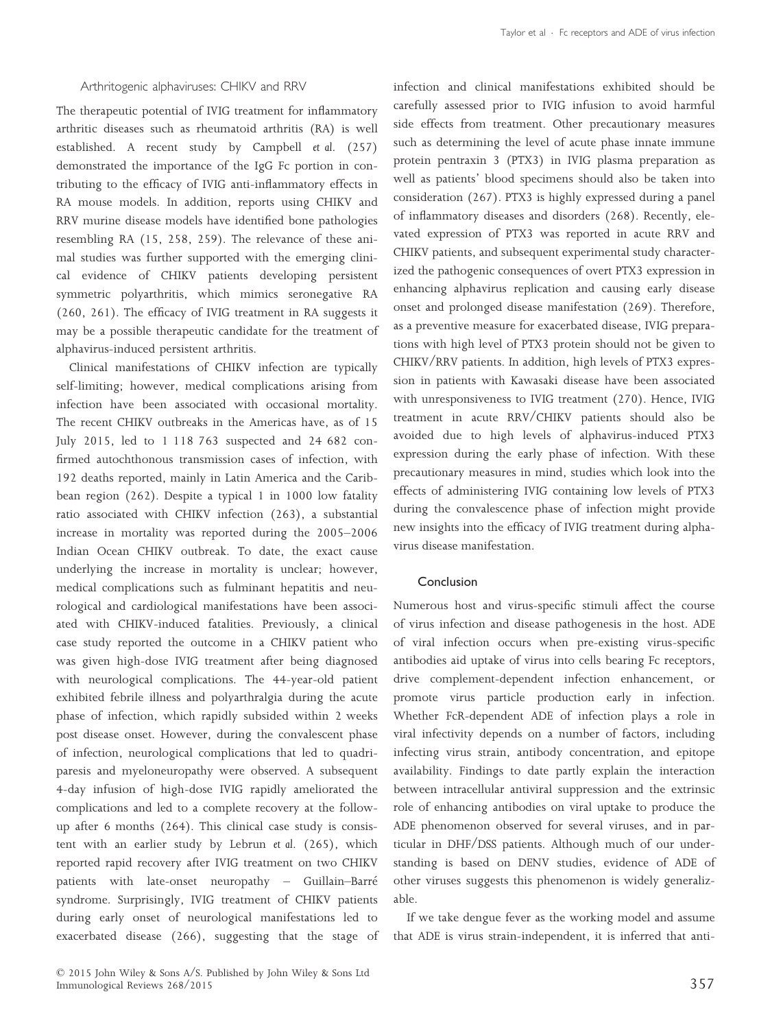## Arthritogenic alphaviruses: CHIKV and RRV

The therapeutic potential of IVIG treatment for inflammatory arthritic diseases such as rheumatoid arthritis (RA) is well established. A recent study by Campbell *et al*. (257) demonstrated the importance of the IgG Fc portion in contributing to the efficacy of IVIG anti-inflammatory effects in RA mouse models. In addition, reports using CHIKV and RRV murine disease models have identified bone pathologies resembling RA (15, 258, 259). The relevance of these animal studies was further supported with the emerging clinical evidence of CHIKV patients developing persistent symmetric polyarthritis, which mimics seronegative RA (260, 261). The efficacy of IVIG treatment in RA suggests it may be a possible therapeutic candidate for the treatment of alphavirus-induced persistent arthritis.

Clinical manifestations of CHIKV infection are typically self-limiting; however, medical complications arising from infection have been associated with occasional mortality. The recent CHIKV outbreaks in the Americas have, as of 15 July 2015, led to 1 118 763 suspected and 24 682 confirmed autochthonous transmission cases of infection, with 192 deaths reported, mainly in Latin America and the Caribbean region (262). Despite a typical 1 in 1000 low fatality ratio associated with CHIKV infection (263), a substantial increase in mortality was reported during the 2005–2006 Indian Ocean CHIKV outbreak. To date, the exact cause underlying the increase in mortality is unclear; however, medical complications such as fulminant hepatitis and neurological and cardiological manifestations have been associated with CHIKV-induced fatalities. Previously, a clinical case study reported the outcome in a CHIKV patient who was given high-dose IVIG treatment after being diagnosed with neurological complications. The 44-year-old patient exhibited febrile illness and polyarthralgia during the acute phase of infection, which rapidly subsided within 2 weeks post disease onset. However, during the convalescent phase of infection, neurological complications that led to quadriparesis and myeloneuropathy were observed. A subsequent 4-day infusion of high-dose IVIG rapidly ameliorated the complications and led to a complete recovery at the followup after 6 months (264). This clinical case study is consistent with an earlier study by Lebrun *et al*. (265), which reported rapid recovery after IVIG treatment on two CHIKV patients with late-onset neuropathy – Guillain–Barre syndrome. Surprisingly, IVIG treatment of CHIKV patients during early onset of neurological manifestations led to exacerbated disease (266), suggesting that the stage of infection and clinical manifestations exhibited should be carefully assessed prior to IVIG infusion to avoid harmful side effects from treatment. Other precautionary measures such as determining the level of acute phase innate immune protein pentraxin 3 (PTX3) in IVIG plasma preparation as well as patients' blood specimens should also be taken into consideration (267). PTX3 is highly expressed during a panel of inflammatory diseases and disorders (268). Recently, elevated expression of PTX3 was reported in acute RRV and CHIKV patients, and subsequent experimental study characterized the pathogenic consequences of overt PTX3 expression in enhancing alphavirus replication and causing early disease onset and prolonged disease manifestation (269). Therefore, as a preventive measure for exacerbated disease, IVIG preparations with high level of PTX3 protein should not be given to CHIKV/RRV patients. In addition, high levels of PTX3 expression in patients with Kawasaki disease have been associated with unresponsiveness to IVIG treatment (270). Hence, IVIG treatment in acute RRV/CHIKV patients should also be avoided due to high levels of alphavirus-induced PTX3 expression during the early phase of infection. With these precautionary measures in mind, studies which look into the effects of administering IVIG containing low levels of PTX3 during the convalescence phase of infection might provide new insights into the efficacy of IVIG treatment during alphavirus disease manifestation.

# Conclusion

Numerous host and virus-specific stimuli affect the course of virus infection and disease pathogenesis in the host. ADE of viral infection occurs when pre-existing virus-specific antibodies aid uptake of virus into cells bearing Fc receptors, drive complement-dependent infection enhancement, or promote virus particle production early in infection. Whether FcR-dependent ADE of infection plays a role in viral infectivity depends on a number of factors, including infecting virus strain, antibody concentration, and epitope availability. Findings to date partly explain the interaction between intracellular antiviral suppression and the extrinsic role of enhancing antibodies on viral uptake to produce the ADE phenomenon observed for several viruses, and in particular in DHF/DSS patients. Although much of our understanding is based on DENV studies, evidence of ADE of other viruses suggests this phenomenon is widely generalizable.

If we take dengue fever as the working model and assume that ADE is virus strain-independent, it is inferred that anti-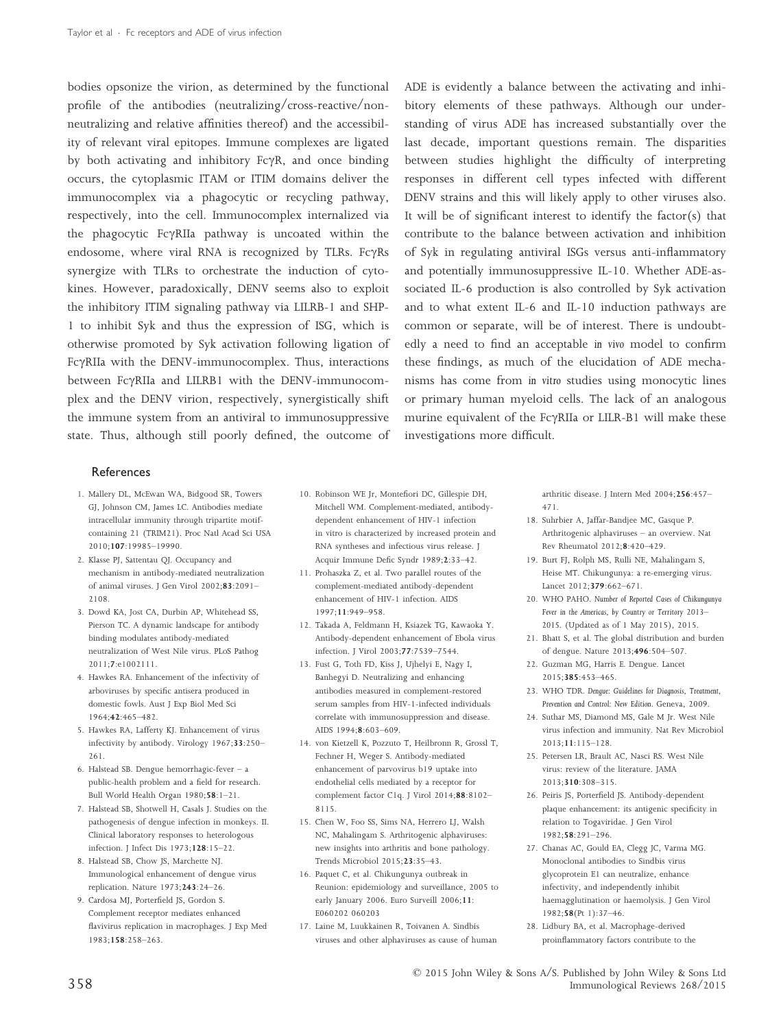bodies opsonize the virion, as determined by the functional profile of the antibodies (neutralizing/cross-reactive/nonneutralizing and relative affinities thereof) and the accessibility of relevant viral epitopes. Immune complexes are ligated by both activating and inhibitory  $E\gamma R$ , and once binding occurs, the cytoplasmic ITAM or ITIM domains deliver the immunocomplex via a phagocytic or recycling pathway, respectively, into the cell. Immunocomplex internalized via the phagocytic FcyRIIa pathway is uncoated within the endosome, where viral RNA is recognized by TLRs. Fc $\gamma$ Rs synergize with TLRs to orchestrate the induction of cytokines. However, paradoxically, DENV seems also to exploit the inhibitory ITIM signaling pathway via LILRB-1 and SHP-1 to inhibit Syk and thus the expression of ISG, which is otherwise promoted by Syk activation following ligation of Fc $\gamma$ RIIa with the DENV-immunocomplex. Thus, interactions between FcyRIIa and LILRB1 with the DENV-immunocomplex and the DENV virion, respectively, synergistically shift the immune system from an antiviral to immunosuppressive state. Thus, although still poorly defined, the outcome of ADE is evidently a balance between the activating and inhibitory elements of these pathways. Although our understanding of virus ADE has increased substantially over the last decade, important questions remain. The disparities between studies highlight the difficulty of interpreting responses in different cell types infected with different DENV strains and this will likely apply to other viruses also. It will be of significant interest to identify the factor(s) that contribute to the balance between activation and inhibition of Syk in regulating antiviral ISGs versus anti-inflammatory and potentially immunosuppressive IL-10. Whether ADE-associated IL-6 production is also controlled by Syk activation and to what extent IL-6 and IL-10 induction pathways are common or separate, will be of interest. There is undoubtedly a need to find an acceptable *in vivo* model to confirm these findings, as much of the elucidation of ADE mechanisms has come from *in vitro* studies using monocytic lines or primary human myeloid cells. The lack of an analogous murine equivalent of the Fc $\gamma$ RIIa or LILR-B1 will make these investigations more difficult.

## References

- 1. Mallery DL, McEwan WA, Bidgood SR, Towers GJ, Johnson CM, James LC. Antibodies mediate intracellular immunity through tripartite motifcontaining 21 (TRIM21). Proc Natl Acad Sci USA 2010;107:19985–19990.
- 2. Klasse PJ, Sattentau QJ. Occupancy and mechanism in antibody-mediated neutralization of animal viruses. J Gen Virol 2002;83:2091– 2108.
- 3. Dowd KA, Jost CA, Durbin AP, Whitehead SS, Pierson TC. A dynamic landscape for antibody binding modulates antibody-mediated neutralization of West Nile virus. PLoS Pathog 2011;7:e1002111.
- 4. Hawkes RA. Enhancement of the infectivity of arboviruses by specific antisera produced in domestic fowls. Aust J Exp Biol Med Sci 1964;42:465–482.
- 5. Hawkes RA, Lafferty KJ. Enhancement of virus infectivity by antibody. Virology 1967;33:250– 261.
- 6. Halstead SB. Dengue hemorrhagic-fever a public-health problem and a field for research. Bull World Health Organ 1980;58:1–21.
- 7. Halstead SB, Shotwell H, Casals J. Studies on the pathogenesis of dengue infection in monkeys. II. Clinical laboratory responses to heterologous infection. J Infect Dis 1973;128:15–22.
- 8. Halstead SB, Chow JS, Marchette NJ. Immunological enhancement of dengue virus replication. Nature 1973;243:24–26.
- 9. Cardosa MJ, Porterfield JS, Gordon S. Complement receptor mediates enhanced flavivirus replication in macrophages. J Exp Med 1983;158:258–263.
- 10. Robinson WE Jr, Montefiori DC, Gillespie DH, Mitchell WM. Complement-mediated, antibodydependent enhancement of HIV-1 infection in vitro is characterized by increased protein and RNA syntheses and infectious virus release. J Acquir Immune Defic Syndr 1989;2:33–42.
- 11. Prohaszka Z, et al. Two parallel routes of the complement-mediated antibody-dependent enhancement of HIV-1 infection. AIDS 1997;11:949–958.
- 12. Takada A, Feldmann H, Ksiazek TG, Kawaoka Y. Antibody-dependent enhancement of Ebola virus infection. J Virol 2003;77:7539–7544.
- 13. Fust G, Toth FD, Kiss J, Ujhelyi E, Nagy I, Banhegyi D. Neutralizing and enhancing antibodies measured in complement-restored serum samples from HIV-1-infected individuals correlate with immunosuppression and disease. AIDS 1994;8:603–609.
- 14. von Kietzell K, Pozzuto T, Heilbronn R, Grossl T, Fechner H, Weger S. Antibody-mediated enhancement of parvovirus b19 uptake into endothelial cells mediated by a receptor for complement factor C1q. J Virol 2014;88:8102– 8115.
- 15. Chen W, Foo SS, Sims NA, Herrero LJ, Walsh NC, Mahalingam S. Arthritogenic alphaviruses: new insights into arthritis and bone pathology. Trends Microbiol 2015;23:35–43.
- 16. Paquet C, et al. Chikungunya outbreak in Reunion: epidemiology and surveillance, 2005 to early January 2006. Euro Surveill 2006;11: E060202 060203
- 17. Laine M, Luukkainen R, Toivanen A. Sindbis viruses and other alphaviruses as cause of human

arthritic disease. J Intern Med 2004;256:457– 471.

- 18. Suhrbier A, Jaffar-Bandjee MC, Gasque P. Arthritogenic alphaviruses – an overview. Nat Rev Rheumatol 2012;8:420–429.
- 19. Burt FJ, Rolph MS, Rulli NE, Mahalingam S, Heise MT. Chikungunya: a re-emerging virus. Lancet 2012;379:662–671.
- 20. WHO PAHO. *Number of Reported Cases of Chikungunya Fever in the Americas, by Country or Territory 2013*– *2015*. (Updated as of 1 May 2015), 2015.
- 21. Bhatt S, et al. The global distribution and burden of dengue. Nature 2013;496:504–507.
- 22. Guzman MG, Harris E. Dengue. Lancet 2015;385:453–465.
- 23. WHO TDR. *Dengue: Guidelines for Diagnosis, Treatment, Prevention and Control: New Edition*. Geneva, 2009.
- 24. Suthar MS, Diamond MS, Gale M Jr. West Nile virus infection and immunity. Nat Rev Microbiol 2013;11:115–128.
- 25. Petersen LR, Brault AC, Nasci RS. West Nile virus: review of the literature. JAMA 2013;310:308–315.
- 26. Peiris JS, Porterfield JS. Antibody-dependent plaque enhancement: its antigenic specificity in relation to Togaviridae. J Gen Virol  $1982.58.291 - 296$
- 27. Chanas AC, Gould EA, Clegg JC, Varma MG. Monoclonal antibodies to Sindbis virus glycoprotein E1 can neutralize, enhance infectivity, and independently inhibit haemagglutination or haemolysis. J Gen Virol 1982;58(Pt 1):37–46.
- 28. Lidbury BA, et al. Macrophage-derived proinflammatory factors contribute to the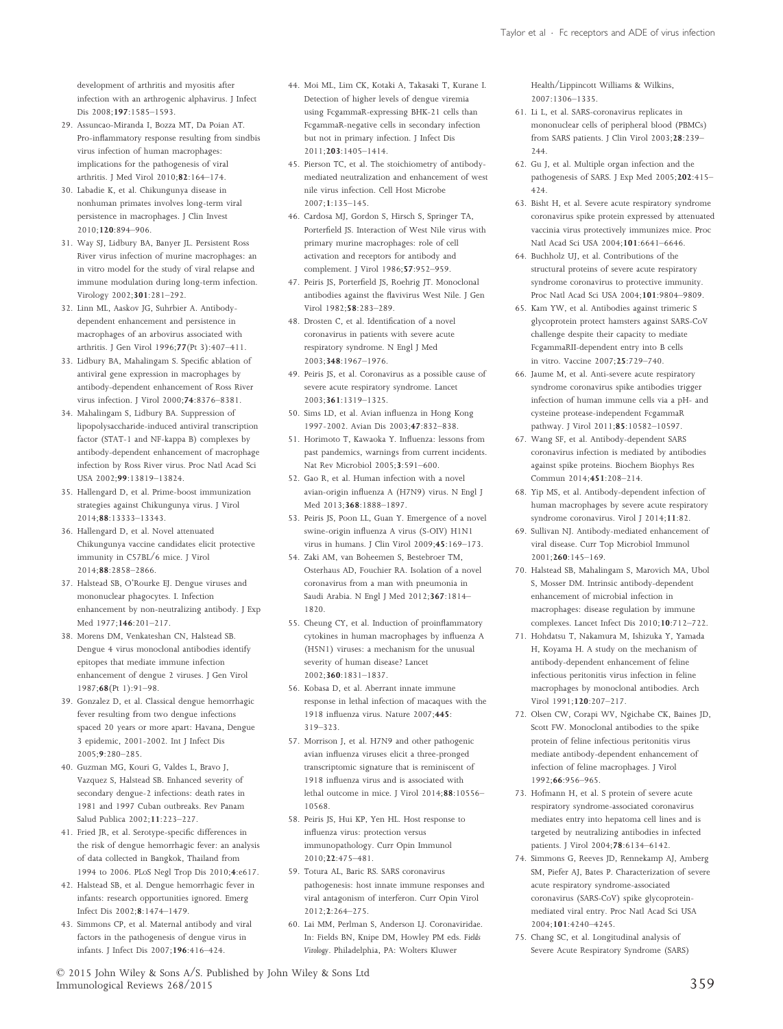development of arthritis and myositis after infection with an arthrogenic alphavirus. J Infect Dis 2008;197:1585–1593.

- 29. Assuncao-Miranda I, Bozza MT, Da Poian AT. Pro-inflammatory response resulting from sindbis virus infection of human macrophages: implications for the pathogenesis of viral arthritis. J Med Virol 2010;82:164–174.
- 30. Labadie K, et al. Chikungunya disease in nonhuman primates involves long-term viral persistence in macrophages. J Clin Invest 2010;120:894–906.
- 31. Way SJ, Lidbury BA, Banyer JL. Persistent Ross River virus infection of murine macrophages: an in vitro model for the study of viral relapse and immune modulation during long-term infection. Virology 2002;301:281–292.
- 32. Linn ML, Aaskov JG, Suhrbier A. Antibodydependent enhancement and persistence in macrophages of an arbovirus associated with arthritis. J Gen Virol 1996;77(Pt 3):407–411.
- 33. Lidbury BA, Mahalingam S. Specific ablation of antiviral gene expression in macrophages by antibody-dependent enhancement of Ross River virus infection. J Virol 2000;74:8376–8381.
- 34. Mahalingam S, Lidbury BA. Suppression of lipopolysaccharide-induced antiviral transcription factor (STAT-1 and NF-kappa B) complexes by antibody-dependent enhancement of macrophage infection by Ross River virus. Proc Natl Acad Sci USA 2002;99:13819–13824.
- 35. Hallengard D, et al. Prime-boost immunization strategies against Chikungunya virus. J Virol 2014;88:13333–13343.
- 36. Hallengard D, et al. Novel attenuated Chikungunya vaccine candidates elicit protective immunity in C57BL/6 mice. J Virol 2014;88:2858–2866.
- 37. Halstead SB, O'Rourke EJ. Dengue viruses and mononuclear phagocytes. I. Infection enhancement by non-neutralizing antibody. J Exp Med 1977;146:201–217.
- 38. Morens DM, Venkateshan CN, Halstead SB. Dengue 4 virus monoclonal antibodies identify epitopes that mediate immune infection enhancement of dengue 2 viruses. J Gen Virol 1987;68(Pt 1):91–98.
- 39. Gonzalez D, et al. Classical dengue hemorrhagic fever resulting from two dengue infections spaced 20 years or more apart: Havana, Dengue 3 epidemic, 2001-2002. Int J Infect Dis 2005;9:280–285.
- 40. Guzman MG, Kouri G, Valdes L, Bravo J, Vazquez S, Halstead SB. Enhanced severity of secondary dengue-2 infections: death rates in 1981 and 1997 Cuban outbreaks. Rev Panam Salud Publica 2002;11:223–227.
- 41. Fried JR, et al. Serotype-specific differences in the risk of dengue hemorrhagic fever: an analysis of data collected in Bangkok, Thailand from 1994 to 2006. PLoS Negl Trop Dis 2010;4:e617.
- 42. Halstead SB, et al. Dengue hemorrhagic fever in infants: research opportunities ignored. Emerg Infect Dis 2002;8:1474–1479.
- 43. Simmons CP, et al. Maternal antibody and viral factors in the pathogenesis of dengue virus in infants. J Infect Dis 2007;196:416–424.
- 44. Moi ML, Lim CK, Kotaki A, Takasaki T, Kurane I. Detection of higher levels of dengue viremia using FcgammaR-expressing BHK-21 cells than FcgammaR-negative cells in secondary infection but not in primary infection. J Infect Dis 2011;203:1405–1414.
- 45. Pierson TC, et al. The stoichiometry of antibodymediated neutralization and enhancement of west nile virus infection. Cell Host Microbe 2007;1:135–145.
- 46. Cardosa MJ, Gordon S, Hirsch S, Springer TA, Porterfield JS. Interaction of West Nile virus with primary murine macrophages: role of cell activation and receptors for antibody and complement. J Virol 1986;57:952–959.
- 47. Peiris JS, Porterfield JS, Roehrig JT. Monoclonal antibodies against the flavivirus West Nile. J Gen Virol 1982;58:283–289.
- 48. Drosten C, et al. Identification of a novel coronavirus in patients with severe acute respiratory syndrome. N Engl J Med 2003;348:1967–1976.
- 49. Peiris JS, et al. Coronavirus as a possible cause of severe acute respiratory syndrome. Lancet 2003;361:1319–1325.
- 50. Sims LD, et al. Avian influenza in Hong Kong 1997-2002. Avian Dis 2003;47:832–838.
- 51. Horimoto T, Kawaoka Y. Influenza: lessons from past pandemics, warnings from current incidents. Nat Rev Microbiol 2005;3:591–600.
- 52. Gao R, et al. Human infection with a novel avian-origin influenza A (H7N9) virus. N Engl J Med 2013;368:1888–1897.
- 53. Peiris JS, Poon LL, Guan Y. Emergence of a novel swine-origin influenza A virus (S-OIV) H1N1 virus in humans. J Clin Virol 2009;45:169–173.
- 54. Zaki AM, van Boheemen S, Bestebroer TM, Osterhaus AD, Fouchier RA. Isolation of a novel coronavirus from a man with pneumonia in Saudi Arabia. N Engl J Med 2012;367:1814– 1820.
- 55. Cheung CY, et al. Induction of proinflammatory cytokines in human macrophages by influenza A (H5N1) viruses: a mechanism for the unusual severity of human disease? Lancet 2002;360:1831–1837.
- 56. Kobasa D, et al. Aberrant innate immune response in lethal infection of macaques with the 1918 influenza virus. Nature 2007;445: 319–323.
- 57. Morrison J, et al. H7N9 and other pathogenic avian influenza viruses elicit a three-pronged transcriptomic signature that is reminiscent of 1918 influenza virus and is associated with lethal outcome in mice. J Virol 2014;88:10556– 10568.
- 58. Peiris JS, Hui KP, Yen HL. Host response to influenza virus: protection versus immunopathology. Curr Opin Immunol 2010;22:475–481.
- 59. Totura AL, Baric RS. SARS coronavirus pathogenesis: host innate immune responses and viral antagonism of interferon. Curr Opin Virol  $2012.2.264 - 275$
- 60. Lai MM, Perlman S, Anderson LJ. Coronaviridae. In: Fields BN, Knipe DM, Howley PM eds. *Fields Virology*. Philadelphia, PA: Wolters Kluwer

Health/Lippincott Williams & Wilkins, 2007:1306–1335.

- 61. Li L, et al. SARS-coronavirus replicates in mononuclear cells of peripheral blood (PBMCs) from SARS patients. J Clin Virol 2003;28:239–  $244$
- 62. Gu J, et al. Multiple organ infection and the pathogenesis of SARS. J Exp Med 2005;202:415– 424.
- 63. Bisht H, et al. Severe acute respiratory syndrome coronavirus spike protein expressed by attenuated vaccinia virus protectively immunizes mice. Proc Natl Acad Sci USA 2004;101:6641–6646.
- 64. Buchholz UJ, et al. Contributions of the structural proteins of severe acute respiratory syndrome coronavirus to protective immunity. Proc Natl Acad Sci USA 2004;101:9804–9809.
- 65. Kam YW, et al. Antibodies against trimeric S glycoprotein protect hamsters against SARS-CoV challenge despite their capacity to mediate FcgammaRII-dependent entry into B cells in vitro. Vaccine 2007;25:729–740.
- 66. Jaume M, et al. Anti-severe acute respiratory syndrome coronavirus spike antibodies trigger infection of human immune cells via a pH- and cysteine protease-independent FcgammaR pathway. J Virol 2011;85:10582–10597.
- 67. Wang SF, et al. Antibody-dependent SARS coronavirus infection is mediated by antibodies against spike proteins. Biochem Biophys Res Commun 2014;451:208–214.
- 68. Yip MS, et al. Antibody-dependent infection of human macrophages by severe acute respiratory syndrome coronavirus. Virol J 2014;11:82.
- 69. Sullivan NJ. Antibody-mediated enhancement of viral disease. Curr Top Microbiol Immunol 2001;260:145–169.
- 70. Halstead SB, Mahalingam S, Marovich MA, Ubol S, Mosser DM. Intrinsic antibody-dependent enhancement of microbial infection in macrophages: disease regulation by immune complexes. Lancet Infect Dis 2010;10:712–722.
- 71. Hohdatsu T, Nakamura M, Ishizuka Y, Yamada H, Koyama H. A study on the mechanism of antibody-dependent enhancement of feline infectious peritonitis virus infection in feline macrophages by monoclonal antibodies. Arch Virol 1991;120:207–217.
- 72. Olsen CW, Corapi WV, Ngichabe CK, Baines JD, Scott FW. Monoclonal antibodies to the spike protein of feline infectious peritonitis virus mediate antibody-dependent enhancement of infection of feline macrophages. J Virol 1992;66:956–965.
- 73. Hofmann H, et al. S protein of severe acute respiratory syndrome-associated coronavirus mediates entry into hepatoma cell lines and is targeted by neutralizing antibodies in infected patients. J Virol 2004;78:6134–6142.
- 74. Simmons G, Reeves JD, Rennekamp AJ, Amberg SM, Piefer AJ, Bates P. Characterization of severe acute respiratory syndrome-associated coronavirus (SARS-CoV) spike glycoproteinmediated viral entry. Proc Natl Acad Sci USA 2004;101:4240–4245.
- 75. Chang SC, et al. Longitudinal analysis of Severe Acute Respiratory Syndrome (SARS)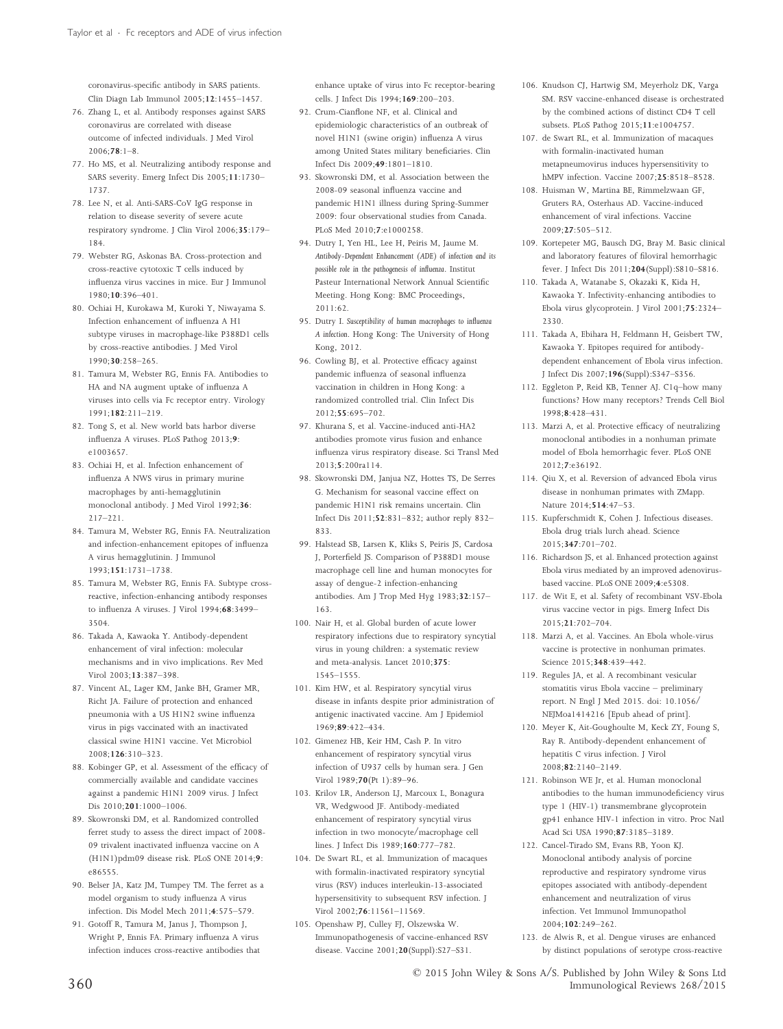coronavirus-specific antibody in SARS patients. Clin Diagn Lab Immunol 2005;12:1455–1457.

- 76. Zhang L, et al. Antibody responses against SARS coronavirus are correlated with disease outcome of infected individuals. J Med Virol  $2006:78:1-8$
- 77. Ho MS, et al. Neutralizing antibody response and SARS severity. Emerg Infect Dis 2005;11:1730– 1737.
- 78. Lee N, et al. Anti-SARS-CoV IgG response in relation to disease severity of severe acute respiratory syndrome. J Clin Virol 2006;35:179– 184.
- 79. Webster RG, Askonas BA. Cross-protection and cross-reactive cytotoxic T cells induced by influenza virus vaccines in mice. Eur J Immunol 1980;10:396–401.
- 80. Ochiai H, Kurokawa M, Kuroki Y, Niwayama S. Infection enhancement of influenza A H1 subtype viruses in macrophage-like P388D1 cells by cross-reactive antibodies. J Med Virol 1990;30:258–265.
- 81. Tamura M, Webster RG, Ennis FA. Antibodies to HA and NA augment uptake of influenza A viruses into cells via Fc receptor entry. Virology  $1991:182:211-219$
- 82. Tong S, et al. New world bats harbor diverse influenza A viruses. PLoS Pathog 2013;9: e1003657.
- 83. Ochiai H, et al. Infection enhancement of influenza A NWS virus in primary murine macrophages by anti-hemagglutinin monoclonal antibody. J Med Virol 1992;36: 217–221.
- 84. Tamura M, Webster RG, Ennis FA. Neutralization and infection-enhancement epitopes of influenza A virus hemagglutinin. J Immunol 1993;151:1731–1738.
- 85. Tamura M, Webster RG, Ennis FA. Subtype crossreactive, infection-enhancing antibody responses to influenza A viruses. J Virol 1994;68:3499– 3504.
- 86. Takada A, Kawaoka Y. Antibody-dependent enhancement of viral infection: molecular mechanisms and in vivo implications. Rev Med Virol 2003;13:387–398.
- 87. Vincent AL, Lager KM, Janke BH, Gramer MR, Richt JA. Failure of protection and enhanced pneumonia with a US H1N2 swine influenza virus in pigs vaccinated with an inactivated classical swine H1N1 vaccine. Vet Microbiol 2008;126:310–323.
- 88. Kobinger GP, et al. Assessment of the efficacy of commercially available and candidate vaccines against a pandemic H1N1 2009 virus. J Infect Dis 2010;201:1000–1006.
- 89. Skowronski DM, et al. Randomized controlled ferret study to assess the direct impact of 2008- 09 trivalent inactivated influenza vaccine on A (H1N1)pdm09 disease risk. PLoS ONE 2014;9: e86555.
- 90. Belser JA, Katz JM, Tumpey TM. The ferret as a model organism to study influenza A virus infection. Dis Model Mech 2011;4:575–579.
- 91. Gotoff R, Tamura M, Janus J, Thompson J, Wright P, Ennis FA. Primary influenza A virus infection induces cross-reactive antibodies that

enhance uptake of virus into Fc receptor-bearing cells. J Infect Dis 1994;169:200–203.

- 92. Crum-Cianflone NF, et al. Clinical and epidemiologic characteristics of an outbreak of novel H1N1 (swine origin) influenza A virus among United States military beneficiaries. Clin Infect Dis 2009;49:1801–1810.
- 93. Skowronski DM, et al. Association between the 2008-09 seasonal influenza vaccine and pandemic H1N1 illness during Spring-Summer 2009: four observational studies from Canada. PLoS Med 2010;7:e1000258.
- 94. Dutry I, Yen HL, Lee H, Peiris M, Jaume M. *Antibody-Dependent Enhancement (ADE) of infection and its possible role in the pathogenesis of influenza*. Institut Pasteur International Network Annual Scientific Meeting. Hong Kong: BMC Proceedings, 2011:62.
- 95. Dutry I. *Susceptibility of human macrophages to influenza A infection*. Hong Kong: The University of Hong Kong, 2012.
- 96. Cowling BJ, et al. Protective efficacy against pandemic influenza of seasonal influenza vaccination in children in Hong Kong: a randomized controlled trial. Clin Infect Dis 2012;55:695–702.
- 97. Khurana S, et al. Vaccine-induced anti-HA2 antibodies promote virus fusion and enhance influenza virus respiratory disease. Sci Transl Med 2013;5:200ra114.
- 98. Skowronski DM, Janjua NZ, Hottes TS, De Serres G. Mechanism for seasonal vaccine effect on pandemic H1N1 risk remains uncertain. Clin Infect Dis 2011;52:831–832; author reply 832– 833.
- 99. Halstead SB, Larsen K, Kliks S, Peiris JS, Cardosa J, Porterfield JS. Comparison of P388D1 mouse macrophage cell line and human monocytes for assay of dengue-2 infection-enhancing antibodies. Am J Trop Med Hyg 1983;32:157– 163.
- 100. Nair H, et al. Global burden of acute lower respiratory infections due to respiratory syncytial virus in young children: a systematic review and meta-analysis. Lancet 2010;375: 1545–1555.
- 101. Kim HW, et al. Respiratory syncytial virus disease in infants despite prior administration of antigenic inactivated vaccine. Am J Epidemiol 1969;89:422–434.
- 102. Gimenez HB, Keir HM, Cash P. In vitro enhancement of respiratory syncytial virus infection of U937 cells by human sera. J Gen Virol 1989;70(Pt 1):89–96.
- 103. Krilov LR, Anderson LJ, Marcoux L, Bonagura VR, Wedgwood JF. Antibody-mediated enhancement of respiratory syncytial virus infection in two monocyte/macrophage cell lines. J Infect Dis 1989;160:777–782.
- 104. De Swart RL, et al. Immunization of macaques with formalin-inactivated respiratory syncytial virus (RSV) induces interleukin-13-associated hypersensitivity to subsequent RSV infection. J Virol 2002;76:11561–11569.
- 105. Openshaw PJ, Culley FJ, Olszewska W. Immunopathogenesis of vaccine-enhanced RSV disease. Vaccine 2001;20(Suppl):S27–S31.
- 106. Knudson CJ, Hartwig SM, Meyerholz DK, Varga SM. RSV vaccine-enhanced disease is orchestrated by the combined actions of distinct CD4 T cell subsets. PLoS Pathog 2015;11:e1004757.
- 107. de Swart RL, et al. Immunization of macaques with formalin-inactivated human metapneumovirus induces hypersensitivity to hMPV infection. Vaccine 2007;25:8518–8528.
- 108. Huisman W, Martina BE, Rimmelzwaan GF, Gruters RA, Osterhaus AD. Vaccine-induced enhancement of viral infections. Vaccine 2009;27:505–512.
- 109. Kortepeter MG, Bausch DG, Bray M. Basic clinical and laboratory features of filoviral hemorrhagic fever. J Infect Dis 2011;204(Suppl):S810–S816.
- 110. Takada A, Watanabe S, Okazaki K, Kida H, Kawaoka Y. Infectivity-enhancing antibodies to Ebola virus glycoprotein. J Virol 2001;75:2324– 2330.
- 111. Takada A, Ebihara H, Feldmann H, Geisbert TW, Kawaoka Y. Epitopes required for antibodydependent enhancement of Ebola virus infection. J Infect Dis 2007;196(Suppl):S347–S356.
- 112. Eggleton P, Reid KB, Tenner AJ. C1q–how many functions? How many receptors? Trends Cell Biol 1998;8:428–431.
- 113. Marzi A, et al. Protective efficacy of neutralizing monoclonal antibodies in a nonhuman primate model of Ebola hemorrhagic fever. PLoS ONE 2012;7:e36192.
- 114. Qiu X, et al. Reversion of advanced Ebola virus disease in nonhuman primates with ZMapp. Nature 2014;514:47–53.
- 115. Kupferschmidt K, Cohen J. Infectious diseases. Ebola drug trials lurch ahead. Science 2015;347:701–702.
- 116. Richardson JS, et al. Enhanced protection against Ebola virus mediated by an improved adenovirusbased vaccine. PLoS ONE 2009;4:e5308.
- 117. de Wit E, et al. Safety of recombinant VSV-Ebola virus vaccine vector in pigs. Emerg Infect Dis 2015;21:702–704.
- 118. Marzi A, et al. Vaccines. An Ebola whole-virus vaccine is protective in nonhuman primates. Science 2015;348:439–442.
- 119. Regules JA, et al. A recombinant vesicular stomatitis virus Ebola vaccine – preliminary report. N Engl J Med 2015. doi: 10.1056/ NEJMoa1414216 [Epub ahead of print].
- 120. Meyer K, Ait-Goughoulte M, Keck ZY, Foung S, Ray R. Antibody-dependent enhancement of hepatitis C virus infection. J Virol  $2008 \cdot 82 \cdot 2140 - 2149$
- 121. Robinson WE Jr, et al. Human monoclonal antibodies to the human immunodeficiency virus type 1 (HIV-1) transmembrane glycoprotein gp41 enhance HIV-1 infection in vitro. Proc Natl Acad Sci USA 1990;87:3185–3189.
- 122. Cancel-Tirado SM, Evans RB, Yoon KJ. Monoclonal antibody analysis of porcine reproductive and respiratory syndrome virus epitopes associated with antibody-dependent enhancement and neutralization of virus infection. Vet Immunol Immunopathol 2004;102:249–262.
- 123. de Alwis R, et al. Dengue viruses are enhanced by distinct populations of serotype cross-reactive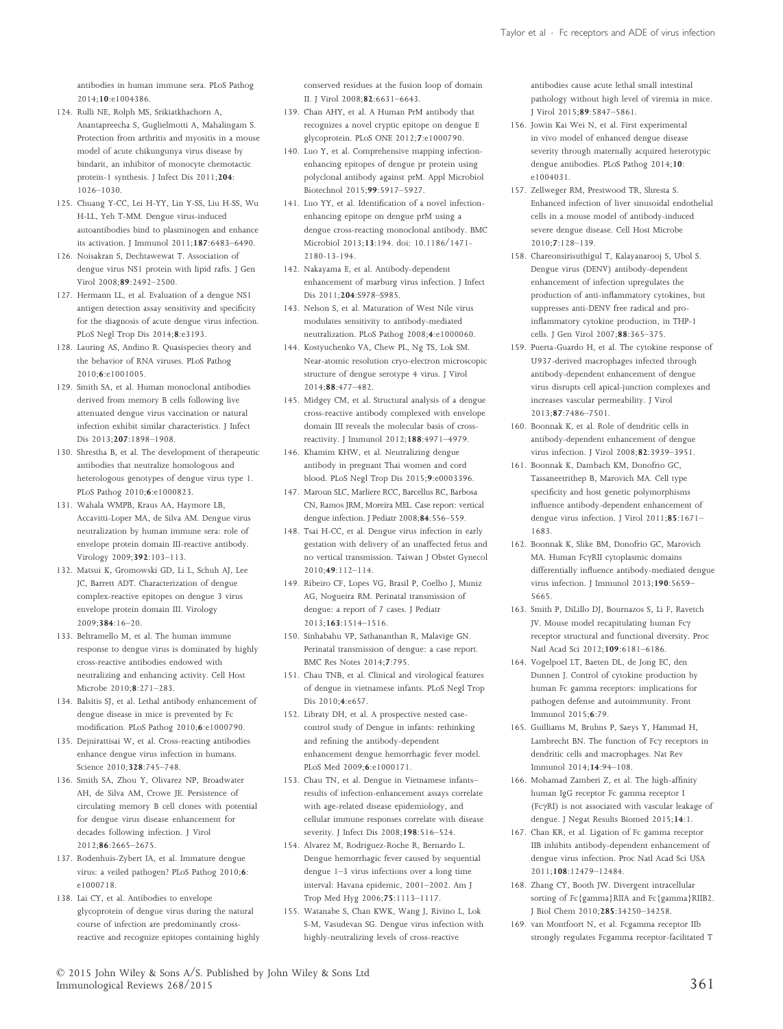antibodies in human immune sera. PLoS Pathog 2014;10:e1004386.

- 124. Rulli NE, Rolph MS, Srikiatkhachorn A, Anantapreecha S, Guglielmotti A, Mahalingam S. Protection from arthritis and myositis in a mouse model of acute chikungunya virus disease by bindarit, an inhibitor of monocyte chemotactic protein-1 synthesis. J Infect Dis 2011;204: 1026–1030.
- 125. Chuang Y-CC, Lei H-YY, Lin Y-SS, Liu H-SS, Wu H-LL, Yeh T-MM. Dengue virus-induced autoantibodies bind to plasminogen and enhance its activation. J Immunol 2011;187:6483–6490.
- 126. Noisakran S, Dechtawewat T. Association of dengue virus NS1 protein with lipid rafts. J Gen Virol 2008;89:2492–2500.
- 127. Hermann LL, et al. Evaluation of a dengue NS1 antigen detection assay sensitivity and specificity for the diagnosis of acute dengue virus infection. PLoS Negl Trop Dis 2014;8:e3193.
- 128. Lauring AS, Andino R. Quasispecies theory and the behavior of RNA viruses. PLoS Pathog 2010;6:e1001005.
- 129. Smith SA, et al. Human monoclonal antibodies derived from memory B cells following live attenuated dengue virus vaccination or natural infection exhibit similar characteristics. J Infect Dis 2013;207:1898–1908.
- 130. Shrestha B, et al. The development of therapeutic antibodies that neutralize homologous and heterologous genotypes of dengue virus type 1. PLoS Pathog 2010;6:e1000823.
- 131. Wahala WMPB, Kraus AA, Haymore LB, Accavitti-Loper MA, de Silva AM. Dengue virus neutralization by human immune sera: role of envelope protein domain III-reactive antibody. Virology 2009;392:103–113.
- 132. Matsui K, Gromowski GD, Li L, Schuh AJ, Lee JC, Barrett ADT. Characterization of dengue complex-reactive epitopes on dengue 3 virus envelope protein domain III. Virology 2009;384:16–20.
- 133. Beltramello M, et al. The human immune response to dengue virus is dominated by highly cross-reactive antibodies endowed with neutralizing and enhancing activity. Cell Host Microbe 2010;8:271–283.
- 134. Balsitis SJ, et al. Lethal antibody enhancement of dengue disease in mice is prevented by Fc modification. PLoS Pathog 2010;6:e1000790.
- 135. Dejnirattisai W, et al. Cross-reacting antibodies enhance dengue virus infection in humans. Science 2010;328:745–748.
- 136. Smith SA, Zhou Y, Olivarez NP, Broadwater AH, de Silva AM, Crowe JE. Persistence of circulating memory B cell clones with potential for dengue virus disease enhancement for decades following infection. J Virol 2012;86:2665–2675.
- 137. Rodenhuis-Zybert IA, et al. Immature dengue virus: a veiled pathogen? PLoS Pathog 2010;6: e1000718.
- 138. Lai CY, et al. Antibodies to envelope glycoprotein of dengue virus during the natural course of infection are predominantly crossreactive and recognize epitopes containing highly

conserved residues at the fusion loop of domain II. J Virol 2008;82:6631–6643.

- 139. Chan AHY, et al. A Human PrM antibody that recognizes a novel cryptic epitope on dengue E glycoprotein. PLoS ONE 2012;7:e1000790.
- 140. Luo Y, et al. Comprehensive mapping infectionenhancing epitopes of dengue pr protein using polyclonal antibody against prM. Appl Microbiol Biotechnol 2015;99:5917–5927.
- 141. Luo YY, et al. Identification of a novel infectionenhancing epitope on dengue prM using a dengue cross-reacting monoclonal antibody. BMC Microbiol 2013;13:194. doi: 10.1186/1471- 2180-13-194.
- 142. Nakayama E, et al. Antibody-dependent enhancement of marburg virus infection. J Infect Dis 2011:204:S978–S985.
- 143. Nelson S, et al. Maturation of West Nile virus modulates sensitivity to antibody-mediated neutralization. PLoS Pathog 2008;4:e1000060.
- 144. Kostyuchenko VA, Chew PL, Ng TS, Lok SM. Near-atomic resolution cryo-electron microscopic structure of dengue serotype 4 virus. J Virol 2014;88:477–482.
- 145. Midgey CM, et al. Structural analysis of a dengue cross-reactive antibody complexed with envelope domain III reveals the molecular basis of crossreactivity. J Immunol 2012;188:4971–4979.
- 146. Khamim KHW, et al. Neutralizing dengue antibody in pregnant Thai women and cord blood. PLoS Negl Trop Dis 2015;9:e0003396.
- 147. Maroun SLC, Marliere RCC, Barcellus RC, Barbosa CN, Ramos JRM, Moreira MEL. Case report: vertical dengue infection. J Pediatr 2008;84:556–559.
- 148. Tsai H-CC, et al. Dengue virus infection in early gestation with delivery of an unaffected fetus and no vertical transmission. Taiwan J Obstet Gynecol 2010;49:112–114.
- 149. Ribeiro CF, Lopes VG, Brasil P, Coelho J, Muniz AG, Nogueira RM. Perinatal transmission of dengue: a report of 7 cases. J Pediatr 2013;163:1514–1516.
- 150. Sinhabahu VP, Sathananthan R, Malavige GN. Perinatal transmission of dengue: a case report. BMC Res Notes 2014;7:795.
- 151. Chau TNB, et al. Clinical and virological features of dengue in vietnamese infants. PLoS Negl Trop Dis 2010;4:e657.
- 152. Libraty DH, et al. A prospective nested casecontrol study of Dengue in infants: rethinking and refining the antibody-dependent enhancement dengue hemorrhagic fever model. PLoS Med 2009;6:e1000171.
- 153. Chau TN, et al. Dengue in Vietnamese infants– results of infection-enhancement assays correlate with age-related disease epidemiology, and cellular immune responses correlate with disease severity. J Infect Dis 2008;198:516–524.
- 154. Alvarez M, Rodriguez-Roche R, Bernardo L. Dengue hemorrhagic fever caused by sequential dengue 1–3 virus infections over a long time interval: Havana epidemic, 2001–2002. Am J Trop Med Hyg 2006;75:1113–1117.
- 155. Watanabe S, Chan KWK, Wang J, Rivino L, Lok S-M, Vasudevan SG. Dengue virus infection with highly-neutralizing levels of cross-reactive

antibodies cause acute lethal small intestinal pathology without high level of viremia in mice. J Virol 2015;89:5847–5861.

- 156. Jowin Kai Wei N, et al. First experimental in vivo model of enhanced dengue disease severity through maternally acquired heterotypic dengue antibodies. PLoS Pathog 2014;10: e1004031.
- 157. Zellweger RM, Prestwood TR, Shresta S. Enhanced infection of liver sinusoidal endothelial cells in a mouse model of antibody-induced severe dengue disease. Cell Host Microbe 2010;7:128–139.
- 158. Chareonsirisuthigul T, Kalayanarooj S, Ubol S. Dengue virus (DENV) antibody-dependent enhancement of infection upregulates the production of anti-inflammatory cytokines, but suppresses anti-DENV free radical and proinflammatory cytokine production, in THP-1 cells. J Gen Virol 2007;88:365–375.
- 159. Puerta-Guardo H, et al. The cytokine response of U937-derived macrophages infected through antibody-dependent enhancement of dengue virus disrupts cell apical-junction complexes and increases vascular permeability. J Virol 2013;87:7486–7501.
- 160. Boonnak K, et al. Role of dendritic cells in antibody-dependent enhancement of dengue virus infection. J Virol 2008;82:3939–3951.
- 161. Boonnak K, Dambach KM, Donofrio GC, Tassaneetrithep B, Marovich MA. Cell type specificity and host genetic polymorphisms influence antibody-dependent enhancement of dengue virus infection. J Virol 2011;85:1671– 1683.
- 162. Boonnak K, Slike BM, Donofrio GC, Marovich MA. Human FcγRII cytoplasmic domains differentially influence antibody-mediated dengue virus infection. J Immunol 2013;190:5659– 5665.
- 163. Smith P, DiLillo DJ, Bournazos S, Li F, Ravetch JV. Mouse model recapitulating human  $Fc\gamma$ receptor structural and functional diversity. Proc Natl Acad Sci 2012;109:6181–6186.
- 164. Vogelpoel LT, Baeten DL, de Jong EC, den Dunnen J. Control of cytokine production by human Fc gamma receptors: implications for pathogen defense and autoimmunity. Front Immunol 2015;6:79.
- 165. Guilliams M, Bruhns P, Saeys Y, Hammad H, Lambrecht BN. The function of  $Fc\gamma$  receptors in dendritic cells and macrophages. Nat Rev Immunol 2014;14:94–108.
- 166. Mohamad Zamberi Z, et al. The high-affinity human IgG receptor Fc gamma receptor I (Fc $\gamma$ RI) is not associated with vascular leakage of dengue. J Negat Results Biomed 2015;14:1.
- 167. Chan KR, et al. Ligation of Fc gamma receptor IIB inhibits antibody-dependent enhancement of dengue virus infection. Proc Natl Acad Sci USA 2011;108:12479–12484.
- 168. Zhang CY, Booth JW. Divergent intracellular sorting of Fc{gamma}RIIA and Fc{gamma}RIIB2. J Biol Chem 2010;285:34250–34258.
- 169. van Montfoort N, et al. Fcgamma receptor IIb strongly regulates Fcgamma receptor-facilitated T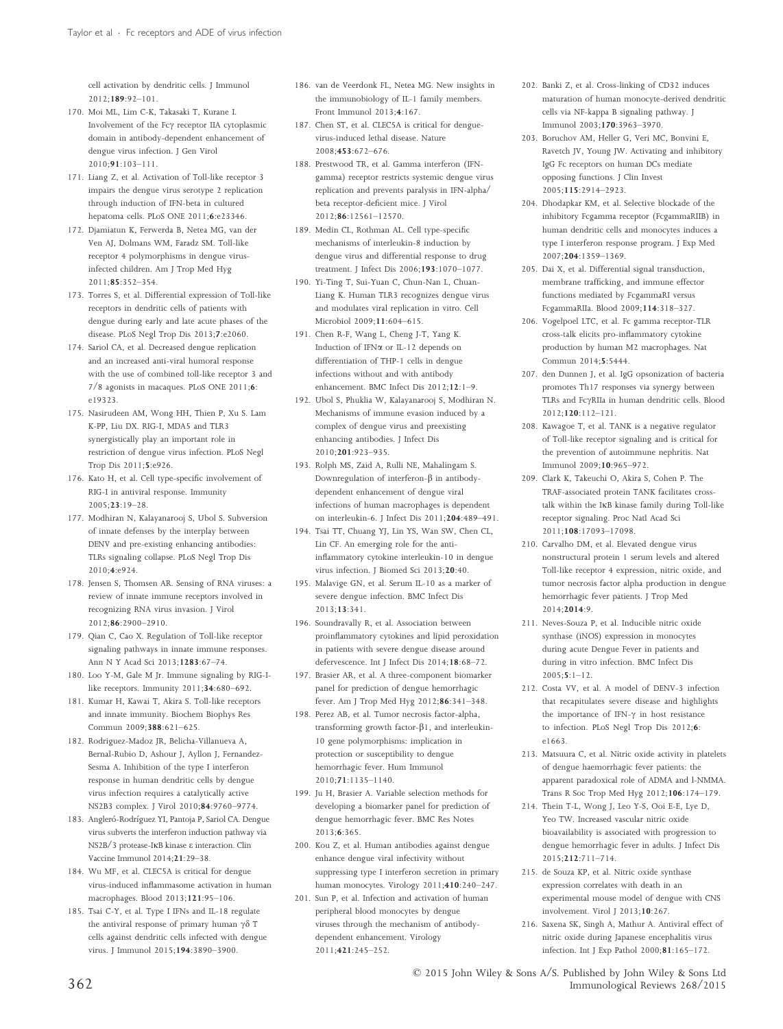cell activation by dendritic cells. J Immunol 2012;189:92–101.

- 170. Moi ML, Lim C-K, Takasaki T, Kurane I. Involvement of the Fc $\gamma$  receptor IIA cytoplasmic domain in antibody-dependent enhancement of dengue virus infection. J Gen Virol 2010;91:103–111.
- 171. Liang Z, et al. Activation of Toll-like receptor 3 impairs the dengue virus serotype 2 replication through induction of IFN-beta in cultured hepatoma cells. PLoS ONE 2011;6:e23346.
- 172. Djamiatun K, Ferwerda B, Netea MG, van der Ven AJ, Dolmans WM, Faradz SM. Toll-like receptor 4 polymorphisms in dengue virusinfected children. Am J Trop Med Hyg 2011;85:352–354.
- 173. Torres S, et al. Differential expression of Toll-like receptors in dendritic cells of patients with dengue during early and late acute phases of the disease. PLoS Negl Trop Dis 2013;7:e2060.
- 174. Sariol CA, et al. Decreased dengue replication and an increased anti-viral humoral response with the use of combined toll-like receptor 3 and 7/8 agonists in macaques. PLoS ONE 2011;6: e19323.
- 175. Nasirudeen AM, Wong HH, Thien P, Xu S. Lam K-PP, Liu DX. RIG-I, MDA5 and TLR3 synergistically play an important role in restriction of dengue virus infection. PLoS Negl Trop Dis 2011;5:e926.
- 176. Kato H, et al. Cell type-specific involvement of RIG-I in antiviral response. Immunity 2005;23:19–28.
- 177. Modhiran N, Kalayanarooj S, Ubol S. Subversion of innate defenses by the interplay between DENV and pre-existing enhancing antibodies: TLRs signaling collapse. PLoS Negl Trop Dis 2010;4:e924.
- 178. Jensen S, Thomsen AR. Sensing of RNA viruses: a review of innate immune receptors involved in recognizing RNA virus invasion. J Virol 2012;86:2900–2910.
- 179. Qian C, Cao X. Regulation of Toll-like receptor signaling pathways in innate immune responses. Ann N Y Acad Sci 2013;1283:67–74.
- 180. Loo Y-M, Gale M Jr. Immune signaling by RIG-Ilike receptors. Immunity 2011;34:680–692.
- 181. Kumar H, Kawai T, Akira S. Toll-like receptors and innate immunity. Biochem Biophys Res Commun 2009;388:621–625.
- 182. Rodriguez-Madoz JR, Belicha-Villanueva A, Bernal-Rubio D, Ashour J, Ayllon J, Fernandez-Sesma A. Inhibition of the type I interferon response in human dendritic cells by dengue virus infection requires a catalytically active NS2B3 complex. J Virol 2010;84:9760–9774.
- 183. Angleró-Rodríguez YI, Pantoja P, Sariol CA. Dengue virus subverts the interferon induction pathway via  $NS2B/3$  protease-IKB kinase  $\varepsilon$  interaction. Clin Vaccine Immunol 2014;21:29–38.
- 184. Wu MF, et al. CLEC5A is critical for dengue virus-induced inflammasome activation in human macrophages. Blood 2013;121:95–106.
- 185. Tsai C-Y, et al. Type I IFNs and IL-18 regulate the antiviral response of primary human  $\gamma\delta$  T cells against dendritic cells infected with dengue virus. J Immunol 2015;194:3890–3900.
- 186. van de Veerdonk FL, Netea MG. New insights in the immunobiology of IL-1 family members. Front Immunol  $2013:4:167$
- 187. Chen ST, et al. CLEC5A is critical for denguevirus-induced lethal disease. Nature 2008;453:672–676.
- 188. Prestwood TR, et al. Gamma interferon (IFNgamma) receptor restricts systemic dengue virus replication and prevents paralysis in IFN-alpha/ beta receptor-deficient mice. J Virol 2012;86:12561–12570.
- 189. Medin CL, Rothman AL. Cell type-specific mechanisms of interleukin-8 induction by dengue virus and differential response to drug treatment. J Infect Dis 2006;193:1070–1077.
- 190. Yi-Ting T, Sui-Yuan C, Chun-Nan L, Chuan-Liang K. Human TLR3 recognizes dengue virus and modulates viral replication in vitro. Cell Microbiol 2009;11:604–615.
- 191. Chen R-F, Wang L, Cheng J-T, Yang K. Induction of IFNa or IL-12 depends on differentiation of THP-1 cells in dengue infections without and with antibody enhancement. BMC Infect Dis 2012;12:1–9.
- 192. Ubol S, Phuklia W, Kalayanarooj S, Modhiran N. Mechanisms of immune evasion induced by a complex of dengue virus and preexisting enhancing antibodies. J Infect Dis 2010;201:923–935.
- 193. Rolph MS, Zaid A, Rulli NE, Mahalingam S. Downregulation of interferon- $\beta$  in antibodydependent enhancement of dengue viral infections of human macrophages is dependent on interleukin-6. J Infect Dis 2011;204:489–491.
- 194. Tsai TT, Chuang YJ, Lin YS, Wan SW, Chen CL, Lin CF. An emerging role for the antiinflammatory cytokine interleukin-10 in dengue virus infection. J Biomed Sci 2013;20:40.
- 195. Malavige GN, et al. Serum IL-10 as a marker of severe dengue infection. BMC Infect Dis 2013;13:341.
- 196. Soundravally R, et al. Association between proinflammatory cytokines and lipid peroxidation in patients with severe dengue disease around defervescence. Int J Infect Dis 2014;18:68–72.
- 197. Brasier AR, et al. A three-component biomarker panel for prediction of dengue hemorrhagic fever. Am J Trop Med Hyg 2012;86:341–348.
- 198. Perez AB, et al. Tumor necrosis factor-alpha, transforming growth factor- $\beta$ 1, and interleukin-10 gene polymorphisms: implication in protection or susceptibility to dengue hemorrhagic fever. Hum Immunol 2010;71:1135–1140.
- 199. Ju H, Brasier A. Variable selection methods for developing a biomarker panel for prediction of dengue hemorrhagic fever. BMC Res Notes 2013;6:365.
- 200. Kou Z, et al. Human antibodies against dengue enhance dengue viral infectivity without suppressing type I interferon secretion in primary human monocytes. Virology 2011;410:240–247.
- 201. Sun P, et al. Infection and activation of human peripheral blood monocytes by dengue viruses through the mechanism of antibodydependent enhancement. Virology 2011;421:245–252.
- 202. Banki Z, et al. Cross-linking of CD32 induces maturation of human monocyte-derived dendritic cells via NF-kappa B signaling pathway. J Immunol 2003;170:3963–3970.
- 203. Boruchov AM, Heller G, Veri MC, Bonvini E, Ravetch JV, Young JW. Activating and inhibitory IgG Fc receptors on human DCs mediate opposing functions. J Clin Invest 2005;115:2914–2923.
- 204. Dhodapkar KM, et al. Selective blockade of the inhibitory Fcgamma receptor (FcgammaRIIB) in human dendritic cells and monocytes induces a type I interferon response program. J Exp Med 2007;204:1359–1369.
- 205. Dai X, et al. Differential signal transduction, membrane trafficking, and immune effector functions mediated by FcgammaRI versus FcgammaRIIa. Blood 2009;114:318–327.
- 206. Vogelpoel LTC, et al. Fc gamma receptor-TLR cross-talk elicits pro-inflammatory cytokine production by human M2 macrophages. Nat Commun 2014;5:5444.
- 207. den Dunnen J, et al. IgG opsonization of bacteria promotes Th17 responses via synergy between TLRs and Fc $\gamma$ RIIa in human dendritic cells. Blood  $2012:120:112-121$
- 208. Kawagoe T, et al. TANK is a negative regulator of Toll-like receptor signaling and is critical for the prevention of autoimmune nephritis. Nat Immunol 2009;10:965–972.
- 209. Clark K, Takeuchi O, Akira S, Cohen P. The TRAF-associated protein TANK facilitates crosstalk within the IKB kinase family during Toll-like receptor signaling. Proc Natl Acad Sci 2011;108:17093–17098.
- 210. Carvalho DM, et al. Elevated dengue virus nonstructural protein 1 serum levels and altered Toll-like receptor 4 expression, nitric oxide, and tumor necrosis factor alpha production in dengue hemorrhagic fever patients. J Trop Med 2014;2014:9.
- 211. Neves-Souza P, et al. Inducible nitric oxide synthase (iNOS) expression in monocytes during acute Dengue Fever in patients and during in vitro infection. BMC Infect Dis  $2005; 5:1-12.$
- 212. Costa VV, et al. A model of DENV-3 infection that recapitulates severe disease and highlights the importance of IFN- $\gamma$  in host resistance to infection. PLoS Negl Trop Dis 2012;6: e1663.
- 213. Matsuura C, et al. Nitric oxide activity in platelets of dengue haemorrhagic fever patients: the apparent paradoxical role of ADMA and l-NMMA. Trans R Soc Trop Med Hyg 2012;106:174–179.
- 214. Thein T-L, Wong J, Leo Y-S, Ooi E-E, Lye D, Yeo TW. Increased vascular nitric oxide bioavailability is associated with progression to dengue hemorrhagic fever in adults. J Infect Dis 2015;212:711–714.
- 215. de Souza KP, et al. Nitric oxide synthase expression correlates with death in an experimental mouse model of dengue with CNS involvement. Virol J 2013;10:267.
- 216. Saxena SK, Singh A, Mathur A. Antiviral effect of nitric oxide during Japanese encephalitis virus infection. Int J Exp Pathol 2000;81:165–172.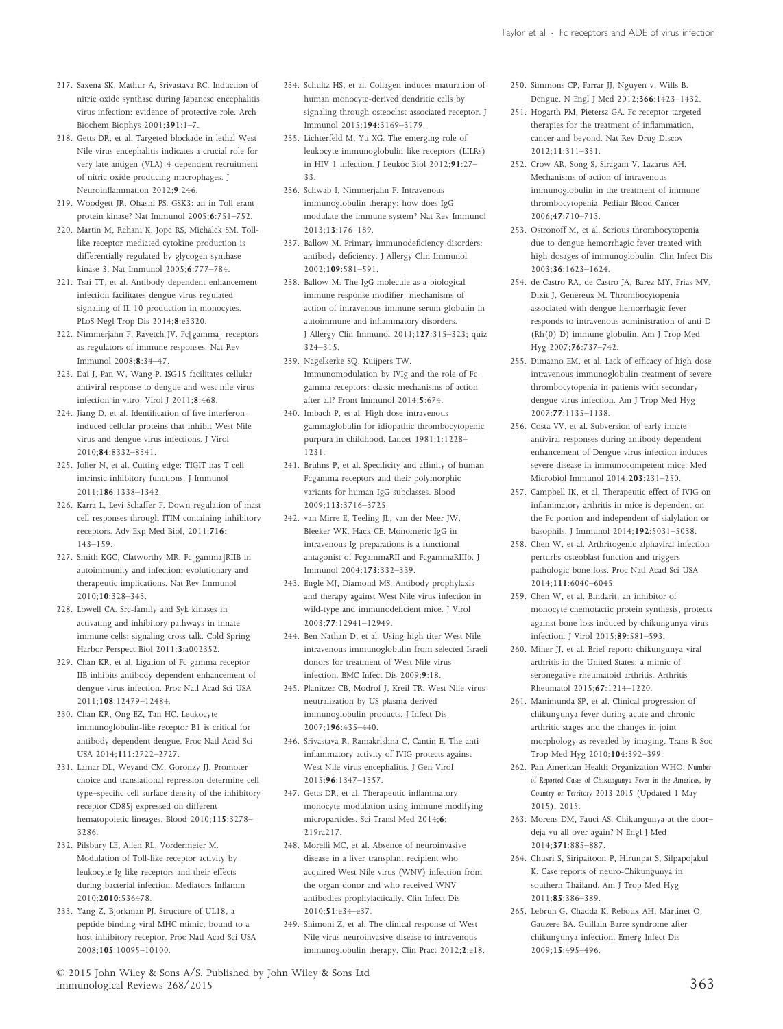- 217. Saxena SK, Mathur A, Srivastava RC. Induction of nitric oxide synthase during Japanese encephalitis virus infection: evidence of protective role. Arch Biochem Biophys 2001;391:1–7.
- 218. Getts DR, et al. Targeted blockade in lethal West Nile virus encephalitis indicates a crucial role for very late antigen (VLA)-4-dependent recruitment of nitric oxide-producing macrophages. J Neuroinflammation 2012;9:246.
- 219. Woodgett JR, Ohashi PS. GSK3: an in-Toll-erant protein kinase? Nat Immunol 2005;6:751–752.
- 220. Martin M, Rehani K, Jope RS, Michalek SM. Tolllike receptor-mediated cytokine production is differentially regulated by glycogen synthase kinase 3. Nat Immunol 2005;6:777–784.
- 221. Tsai TT, et al. Antibody-dependent enhancement infection facilitates dengue virus-regulated signaling of IL-10 production in monocytes. PLoS Negl Trop Dis 2014;8:e3320.
- 222. Nimmerjahn F, Ravetch JV. Fc[gamma] receptors as regulators of immune responses. Nat Rev Immunol 2008;8:34–47.
- 223. Dai J, Pan W, Wang P. ISG15 facilitates cellular antiviral response to dengue and west nile virus infection in vitro. Virol J 2011;8:468.
- 224. Jiang D, et al. Identification of five interferoninduced cellular proteins that inhibit West Nile virus and dengue virus infections. J Virol 2010;84:8332–8341.
- 225. Joller N, et al. Cutting edge: TIGIT has T cellintrinsic inhibitory functions. J Immunol 2011;186:1338–1342.
- 226. Karra L, Levi-Schaffer F. Down-regulation of mast cell responses through ITIM containing inhibitory receptors. Adv Exp Med Biol, 2011;716: 143–159.
- 227. Smith KGC, Clatworthy MR. Fc[gamma]RIIB in autoimmunity and infection: evolutionary and therapeutic implications. Nat Rev Immunol 2010;10:328–343.
- 228. Lowell CA. Src-family and Syk kinases in activating and inhibitory pathways in innate immune cells: signaling cross talk. Cold Spring Harbor Perspect Biol 2011;3:a002352.
- 229. Chan KR, et al. Ligation of Fc gamma receptor IIB inhibits antibody-dependent enhancement of dengue virus infection. Proc Natl Acad Sci USA 2011;108:12479–12484.
- 230. Chan KR, Ong EZ, Tan HC. Leukocyte immunoglobulin-like receptor B1 is critical for antibody-dependent dengue. Proc Natl Acad Sci USA 2014;111:2722–2727.
- 231. Lamar DL, Weyand CM, Goronzy JJ. Promoter choice and translational repression determine cell type–specific cell surface density of the inhibitory receptor CD85j expressed on different hematopoietic lineages. Blood 2010;115:3278– 3286.
- 232. Pilsbury LE, Allen RL, Vordermeier M. Modulation of Toll-like receptor activity by leukocyte Ig-like receptors and their effects during bacterial infection. Mediators Inflamm 2010;2010:536478.
- 233. Yang Z, Bjorkman PJ. Structure of UL18, a peptide-binding viral MHC mimic, bound to a host inhibitory receptor. Proc Natl Acad Sci USA 2008;105:10095–10100.
- 234. Schultz HS, et al. Collagen induces maturation of human monocyte-derived dendritic cells by signaling through osteoclast-associated receptor. J Immunol 2015;194:3169–3179.
- 235. Lichterfeld M, Yu XG. The emerging role of leukocyte immunoglobulin-like receptors (LILRs) in HIV-1 infection. J Leukoc Biol 2012;91:27– 33.
- 236. Schwab I, Nimmerjahn F. Intravenous immunoglobulin therapy: how does IgG modulate the immune system? Nat Rev Immunol 2013;13:176–189.
- 237. Ballow M. Primary immunodeficiency disorders: antibody deficiency. J Allergy Clin Immunol  $2002:109:581-591$
- 238. Ballow M. The IgG molecule as a biological immune response modifier: mechanisms of action of intravenous immune serum globulin in autoimmune and inflammatory disorders. J Allergy Clin Immunol 2011;127:315–323; quiz 324–315.
- 239. Nagelkerke SQ, Kuijpers TW. Immunomodulation by IVIg and the role of Fcgamma receptors: classic mechanisms of action after all? Front Immunol 2014;5:674.
- 240. Imbach P, et al. High-dose intravenous gammaglobulin for idiopathic thrombocytopenic purpura in childhood. Lancet 1981;1:1228– 1231.
- 241. Bruhns P, et al. Specificity and affinity of human Fcgamma receptors and their polymorphic variants for human IgG subclasses. Blood 2009;113:3716–3725.
- 242. van Mirre E, Teeling JL, van der Meer JW, Bleeker WK, Hack CE. Monomeric IgG in intravenous Ig preparations is a functional antagonist of FcgammaRII and FcgammaRIIIb. J Immunol 2004;173:332–339.
- 243. Engle MJ, Diamond MS. Antibody prophylaxis and therapy against West Nile virus infection in wild-type and immunodeficient mice. J Virol 2003;77:12941–12949.
- 244. Ben-Nathan D, et al. Using high titer West Nile intravenous immunoglobulin from selected Israeli donors for treatment of West Nile virus infection. BMC Infect Dis 2009;9:18.
- 245. Planitzer CB, Modrof J, Kreil TR. West Nile virus neutralization by US plasma-derived immunoglobulin products. J Infect Dis 2007;196:435–440.
- 246. Srivastava R, Ramakrishna C, Cantin E. The antiinflammatory activity of IVIG protects against West Nile virus encephalitis. J Gen Virol 2015;96:1347–1357.
- 247. Getts DR, et al. Therapeutic inflammatory monocyte modulation using immune-modifying microparticles. Sci Transl Med 2014;6: 219ra217.
- 248. Morelli MC, et al. Absence of neuroinvasive disease in a liver transplant recipient who acquired West Nile virus (WNV) infection from the organ donor and who received WNV antibodies prophylactically. Clin Infect Dis 2010;51:e34–e37.
- 249. Shimoni Z, et al. The clinical response of West Nile virus neuroinvasive disease to intravenous immunoglobulin therapy. Clin Pract 2012;2:e18.
- 250. Simmons CP, Farrar JJ, Nguyen v, Wills B. Dengue. N Engl J Med 2012;366:1423–1432.
- 251. Hogarth PM, Pietersz GA. Fc receptor-targeted therapies for the treatment of inflammation, cancer and beyond. Nat Rev Drug Discov 2012;11:311–331.
- 252. Crow AR, Song S, Siragam V, Lazarus AH. Mechanisms of action of intravenous immunoglobulin in the treatment of immune thrombocytopenia. Pediatr Blood Cancer 2006;47:710–713.
- 253. Ostronoff M, et al. Serious thrombocytopenia due to dengue hemorrhagic fever treated with high dosages of immunoglobulin. Clin Infect Dis 2003;36:1623–1624.
- 254. de Castro RA, de Castro JA, Barez MY, Frias MV, Dixit J, Genereux M. Thrombocytopenia associated with dengue hemorrhagic fever responds to intravenous administration of anti-D (Rh(0)-D) immune globulin. Am J Trop Med Hyg 2007;76:737–742.
- 255. Dimaano EM, et al. Lack of efficacy of high-dose intravenous immunoglobulin treatment of severe thrombocytopenia in patients with secondary dengue virus infection. Am J Trop Med Hyg  $2007:77:1135-1138$
- 256. Costa VV, et al. Subversion of early innate antiviral responses during antibody-dependent enhancement of Dengue virus infection induces severe disease in immunocompetent mice. Med Microbiol Immunol 2014;203:231–250.
- 257. Campbell IK, et al. Therapeutic effect of IVIG on inflammatory arthritis in mice is dependent on the Fc portion and independent of sialylation or basophils. J Immunol 2014;192:5031–5038.
- 258. Chen W, et al. Arthritogenic alphaviral infection perturbs osteoblast function and triggers pathologic bone loss. Proc Natl Acad Sci USA 2014;111:6040–6045.
- 259. Chen W, et al. Bindarit, an inhibitor of monocyte chemotactic protein synthesis, protects against bone loss induced by chikungunya virus infection. J Virol 2015;89:581–593.
- 260. Miner JJ, et al. Brief report: chikungunya viral arthritis in the United States: a mimic of seronegative rheumatoid arthritis. Arthritis Rheumatol 2015;67:1214–1220.
- 261. Manimunda SP, et al. Clinical progression of chikungunya fever during acute and chronic arthritic stages and the changes in joint morphology as revealed by imaging. Trans R Soc Trop Med Hyg 2010;104:392–399.
- 262. Pan American Health Organization WHO. *Number of Reported Cases of Chikungunya Fever in the Americas, by Country or Territory 2013-2015* (Updated 1 May 2015), 2015.
- 263. Morens DM, Fauci AS. Chikungunya at the door– deja vu all over again? N Engl J Med 2014;371:885–887.
- 264. Chusri S, Siripaitoon P, Hirunpat S, Silpapojakul K. Case reports of neuro-Chikungunya in southern Thailand. Am J Trop Med Hyg 2011;85:386–389.
- 265. Lebrun G, Chadda K, Reboux AH, Martinet O, Gauzere BA. Guillain-Barre syndrome after chikungunya infection. Emerg Infect Dis 2009;15:495–496.